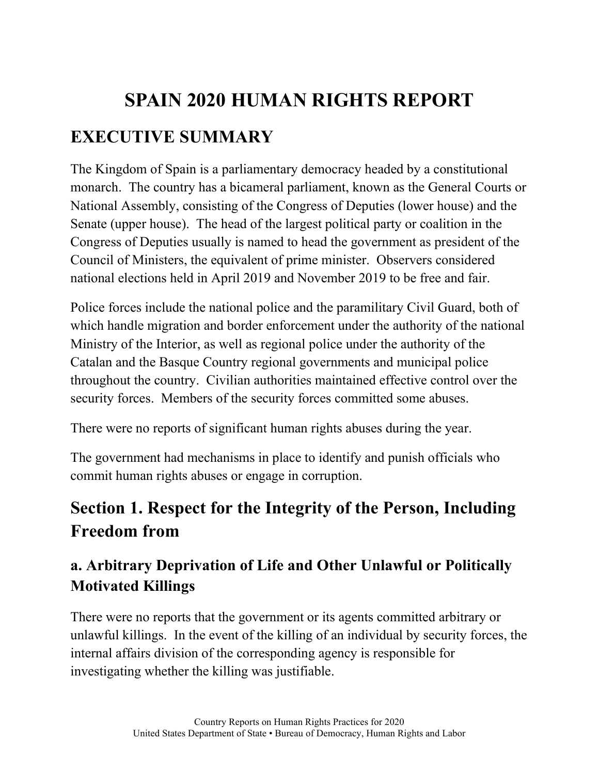# **SPAIN 2020 HUMAN RIGHTS REPORT EXECUTIVE SUMMARY**

The Kingdom of Spain is a parliamentary democracy headed by a constitutional monarch. The country has a bicameral parliament, known as the General Courts or National Assembly, consisting of the Congress of Deputies (lower house) and the Senate (upper house). The head of the largest political party or coalition in the Congress of Deputies usually is named to head the government as president of the Council of Ministers, the equivalent of prime minister. Observers considered national elections held in April 2019 and November 2019 to be free and fair.

Police forces include the national police and the paramilitary Civil Guard, both of which handle migration and border enforcement under the authority of the national Ministry of the Interior, as well as regional police under the authority of the Catalan and the Basque Country regional governments and municipal police throughout the country. Civilian authorities maintained effective control over the security forces. Members of the security forces committed some abuses.

There were no reports of significant human rights abuses during the year.

The government had mechanisms in place to identify and punish officials who commit human rights abuses or engage in corruption.

# **Section 1. Respect for the Integrity of the Person, Including Freedom from**

# **a. Arbitrary Deprivation of Life and Other Unlawful or Politically Motivated Killings**

There were no reports that the government or its agents committed arbitrary or unlawful killings. In the event of the killing of an individual by security forces, the internal affairs division of the corresponding agency is responsible for investigating whether the killing was justifiable.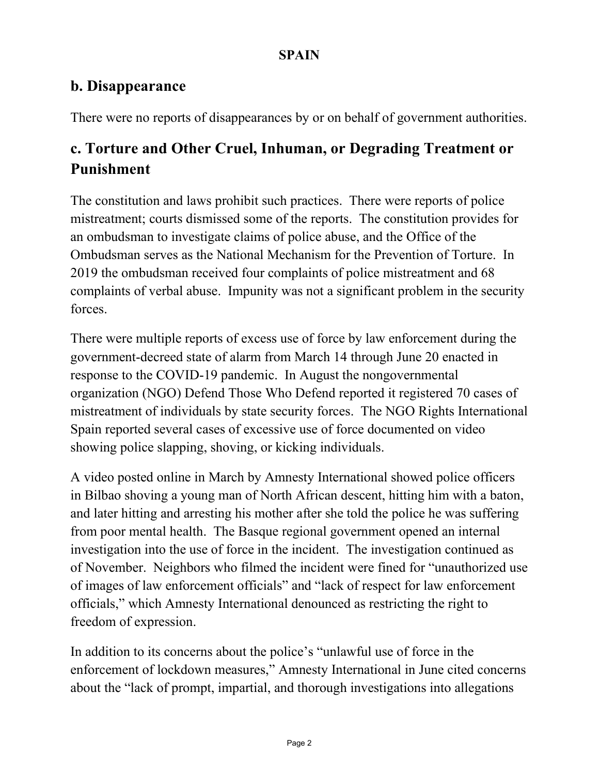### **b. Disappearance**

There were no reports of disappearances by or on behalf of government authorities.

# **c. Torture and Other Cruel, Inhuman, or Degrading Treatment or Punishment**

The constitution and laws prohibit such practices. There were reports of police mistreatment; courts dismissed some of the reports. The constitution provides for an ombudsman to investigate claims of police abuse, and the Office of the Ombudsman serves as the National Mechanism for the Prevention of Torture. In 2019 the ombudsman received four complaints of police mistreatment and 68 complaints of verbal abuse. Impunity was not a significant problem in the security forces.

There were multiple reports of excess use of force by law enforcement during the government-decreed state of alarm from March 14 through June 20 enacted in response to the COVID-19 pandemic. In August the nongovernmental organization (NGO) Defend Those Who Defend reported it registered 70 cases of mistreatment of individuals by state security forces. The NGO Rights International Spain reported several cases of excessive use of force documented on video showing police slapping, shoving, or kicking individuals.

A video posted online in March by Amnesty International showed police officers in Bilbao shoving a young man of North African descent, hitting him with a baton, and later hitting and arresting his mother after she told the police he was suffering from poor mental health. The Basque regional government opened an internal investigation into the use of force in the incident. The investigation continued as of November. Neighbors who filmed the incident were fined for "unauthorized use of images of law enforcement officials" and "lack of respect for law enforcement officials," which Amnesty International denounced as restricting the right to freedom of expression.

In addition to its concerns about the police's "unlawful use of force in the enforcement of lockdown measures," Amnesty International in June cited concerns about the "lack of prompt, impartial, and thorough investigations into allegations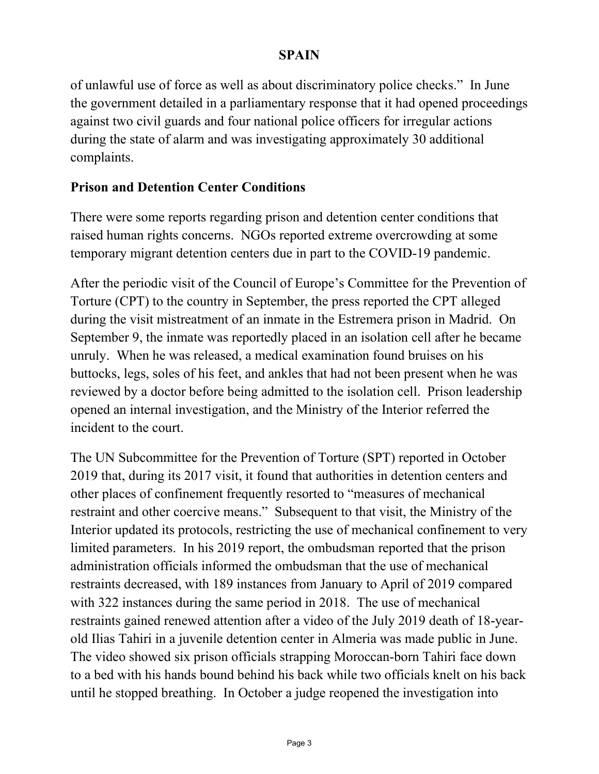of unlawful use of force as well as about discriminatory police checks." In June the government detailed in a parliamentary response that it had opened proceedings against two civil guards and four national police officers for irregular actions during the state of alarm and was investigating approximately 30 additional complaints.

### **Prison and Detention Center Conditions**

There were some reports regarding prison and detention center conditions that raised human rights concerns. NGOs reported extreme overcrowding at some temporary migrant detention centers due in part to the COVID-19 pandemic.

After the periodic visit of the Council of Europe's Committee for the Prevention of Torture (CPT) to the country in September, the press reported the CPT alleged during the visit mistreatment of an inmate in the Estremera prison in Madrid. On September 9, the inmate was reportedly placed in an isolation cell after he became unruly. When he was released, a medical examination found bruises on his buttocks, legs, soles of his feet, and ankles that had not been present when he was reviewed by a doctor before being admitted to the isolation cell. Prison leadership opened an internal investigation, and the Ministry of the Interior referred the incident to the court.

The UN Subcommittee for the Prevention of Torture (SPT) reported in October 2019 that, during its 2017 visit, it found that authorities in detention centers and other places of confinement frequently resorted to "measures of mechanical restraint and other coercive means." Subsequent to that visit, the Ministry of the Interior updated its protocols, restricting the use of mechanical confinement to very limited parameters. In his 2019 report, the ombudsman reported that the prison administration officials informed the ombudsman that the use of mechanical restraints decreased, with 189 instances from January to April of 2019 compared with 322 instances during the same period in 2018. The use of mechanical restraints gained renewed attention after a video of the July 2019 death of 18-yearold Ilias Tahiri in a juvenile detention center in Almeria was made public in June. The video showed six prison officials strapping Moroccan-born Tahiri face down to a bed with his hands bound behind his back while two officials knelt on his back until he stopped breathing. In October a judge reopened the investigation into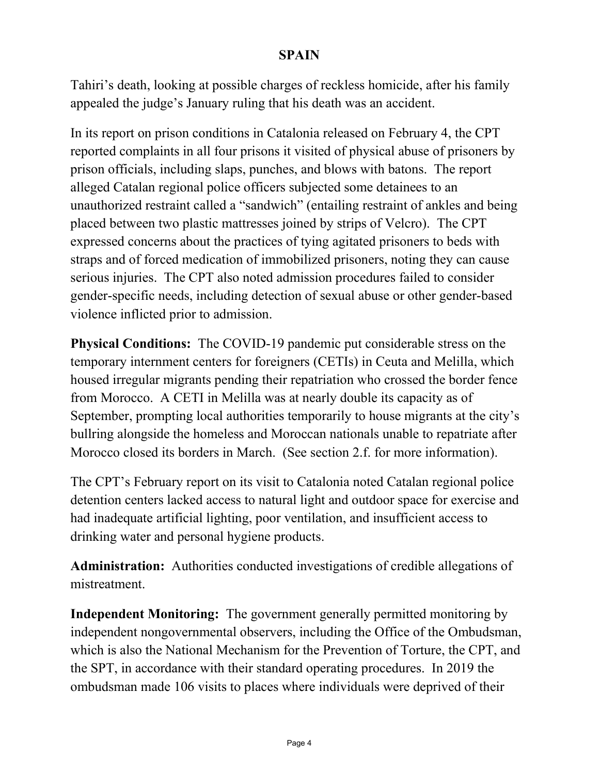Tahiri's death, looking at possible charges of reckless homicide, after his family appealed the judge's January ruling that his death was an accident.

In its report on prison conditions in Catalonia released on February 4, the CPT reported complaints in all four prisons it visited of physical abuse of prisoners by prison officials, including slaps, punches, and blows with batons. The report alleged Catalan regional police officers subjected some detainees to an unauthorized restraint called a "sandwich" (entailing restraint of ankles and being placed between two plastic mattresses joined by strips of Velcro). The CPT expressed concerns about the practices of tying agitated prisoners to beds with straps and of forced medication of immobilized prisoners, noting they can cause serious injuries. The CPT also noted admission procedures failed to consider gender-specific needs, including detection of sexual abuse or other gender-based violence inflicted prior to admission.

**Physical Conditions:** The COVID-19 pandemic put considerable stress on the temporary internment centers for foreigners (CETIs) in Ceuta and Melilla, which housed irregular migrants pending their repatriation who crossed the border fence from Morocco. A CETI in Melilla was at nearly double its capacity as of September, prompting local authorities temporarily to house migrants at the city's bullring alongside the homeless and Moroccan nationals unable to repatriate after Morocco closed its borders in March. (See section 2.f. for more information).

The CPT's February report on its visit to Catalonia noted Catalan regional police detention centers lacked access to natural light and outdoor space for exercise and had inadequate artificial lighting, poor ventilation, and insufficient access to drinking water and personal hygiene products.

**Administration:** Authorities conducted investigations of credible allegations of mistreatment.

**Independent Monitoring:** The government generally permitted monitoring by independent nongovernmental observers, including the Office of the Ombudsman, which is also the National Mechanism for the Prevention of Torture, the CPT, and the SPT, in accordance with their standard operating procedures. In 2019 the ombudsman made 106 visits to places where individuals were deprived of their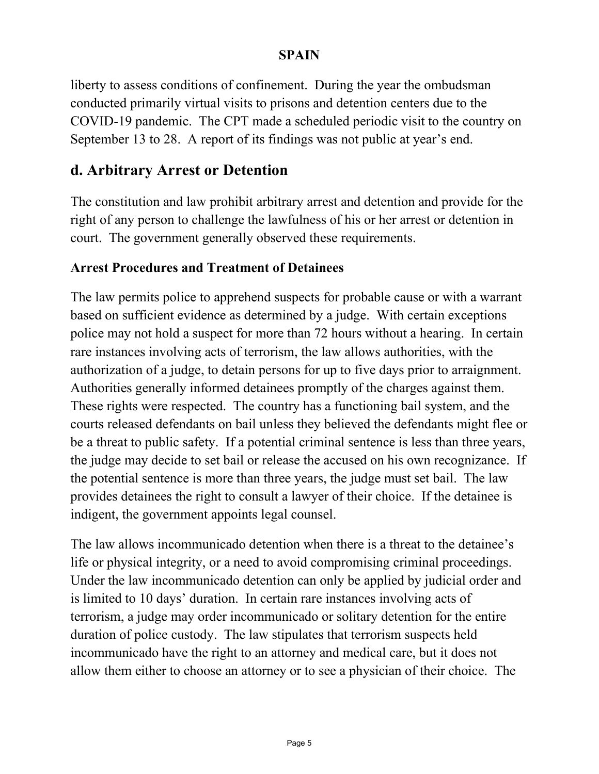liberty to assess conditions of confinement. During the year the ombudsman conducted primarily virtual visits to prisons and detention centers due to the COVID-19 pandemic. The CPT made a scheduled periodic visit to the country on September 13 to 28. A report of its findings was not public at year's end.

### **d. Arbitrary Arrest or Detention**

The constitution and law prohibit arbitrary arrest and detention and provide for the right of any person to challenge the lawfulness of his or her arrest or detention in court. The government generally observed these requirements.

### **Arrest Procedures and Treatment of Detainees**

The law permits police to apprehend suspects for probable cause or with a warrant based on sufficient evidence as determined by a judge. With certain exceptions police may not hold a suspect for more than 72 hours without a hearing. In certain rare instances involving acts of terrorism, the law allows authorities, with the authorization of a judge, to detain persons for up to five days prior to arraignment. Authorities generally informed detainees promptly of the charges against them. These rights were respected. The country has a functioning bail system, and the courts released defendants on bail unless they believed the defendants might flee or be a threat to public safety. If a potential criminal sentence is less than three years, the judge may decide to set bail or release the accused on his own recognizance. If the potential sentence is more than three years, the judge must set bail. The law provides detainees the right to consult a lawyer of their choice. If the detainee is indigent, the government appoints legal counsel.

The law allows incommunicado detention when there is a threat to the detainee's life or physical integrity, or a need to avoid compromising criminal proceedings. Under the law incommunicado detention can only be applied by judicial order and is limited to 10 days' duration. In certain rare instances involving acts of terrorism, a judge may order incommunicado or solitary detention for the entire duration of police custody. The law stipulates that terrorism suspects held incommunicado have the right to an attorney and medical care, but it does not allow them either to choose an attorney or to see a physician of their choice. The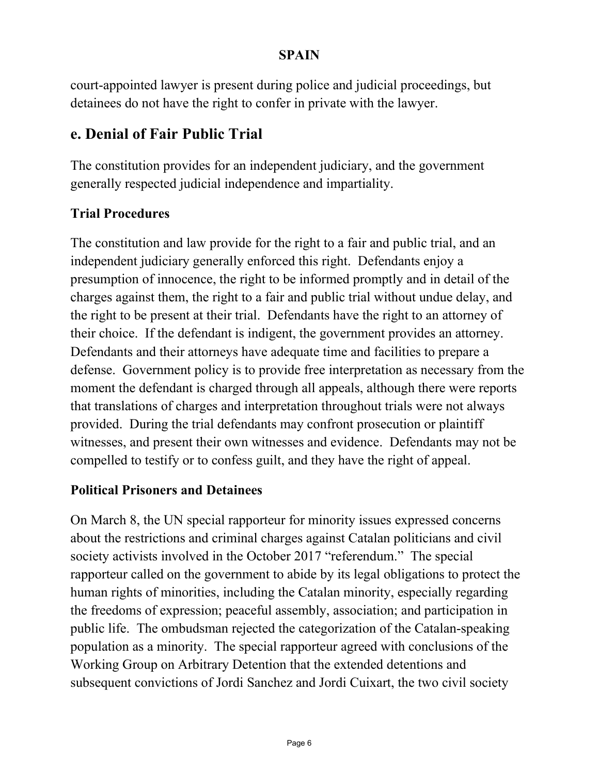court-appointed lawyer is present during police and judicial proceedings, but detainees do not have the right to confer in private with the lawyer.

### **e. Denial of Fair Public Trial**

The constitution provides for an independent judiciary, and the government generally respected judicial independence and impartiality.

### **Trial Procedures**

The constitution and law provide for the right to a fair and public trial, and an independent judiciary generally enforced this right. Defendants enjoy a presumption of innocence, the right to be informed promptly and in detail of the charges against them, the right to a fair and public trial without undue delay, and the right to be present at their trial. Defendants have the right to an attorney of their choice. If the defendant is indigent, the government provides an attorney. Defendants and their attorneys have adequate time and facilities to prepare a defense. Government policy is to provide free interpretation as necessary from the moment the defendant is charged through all appeals, although there were reports that translations of charges and interpretation throughout trials were not always provided. During the trial defendants may confront prosecution or plaintiff witnesses, and present their own witnesses and evidence. Defendants may not be compelled to testify or to confess guilt, and they have the right of appeal.

### **Political Prisoners and Detainees**

On March 8, the UN special rapporteur for minority issues expressed concerns about the restrictions and criminal charges against Catalan politicians and civil society activists involved in the October 2017 "referendum." The special rapporteur called on the government to abide by its legal obligations to protect the human rights of minorities, including the Catalan minority, especially regarding the freedoms of expression; peaceful assembly, association; and participation in public life. The ombudsman rejected the categorization of the Catalan-speaking population as a minority. The special rapporteur agreed with conclusions of the Working Group on Arbitrary Detention that the extended detentions and subsequent convictions of Jordi Sanchez and Jordi Cuixart, the two civil society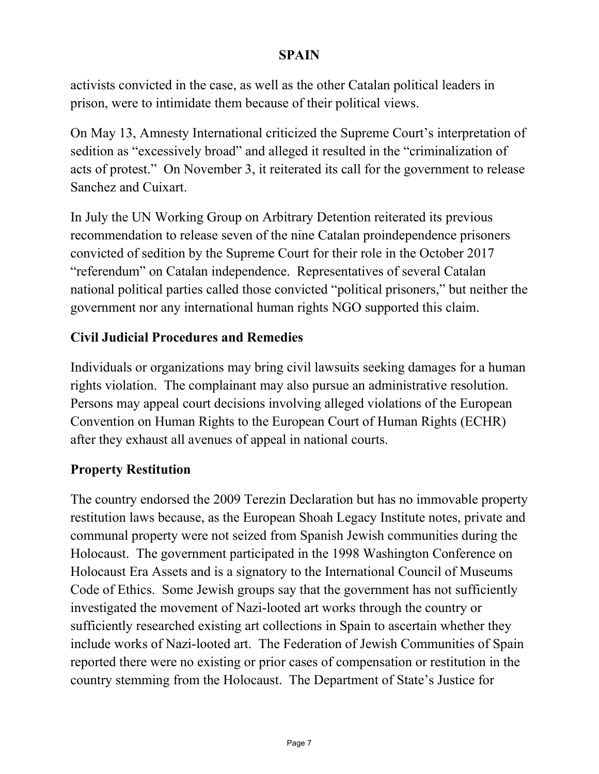activists convicted in the case, as well as the other Catalan political leaders in prison, were to intimidate them because of their political views.

On May 13, Amnesty International criticized the Supreme Court's interpretation of sedition as "excessively broad" and alleged it resulted in the "criminalization of acts of protest." On November 3, it reiterated its call for the government to release Sanchez and Cuixart.

In July the UN Working Group on Arbitrary Detention reiterated its previous recommendation to release seven of the nine Catalan proindependence prisoners convicted of sedition by the Supreme Court for their role in the October 2017 "referendum" on Catalan independence. Representatives of several Catalan national political parties called those convicted "political prisoners," but neither the government nor any international human rights NGO supported this claim.

### **Civil Judicial Procedures and Remedies**

Individuals or organizations may bring civil lawsuits seeking damages for a human rights violation. The complainant may also pursue an administrative resolution. Persons may appeal court decisions involving alleged violations of the European Convention on Human Rights to the European Court of Human Rights (ECHR) after they exhaust all avenues of appeal in national courts.

### **Property Restitution**

The country endorsed the 2009 Terezin Declaration but has no immovable property restitution laws because, as the European Shoah Legacy Institute notes, private and communal property were not seized from Spanish Jewish communities during the Holocaust. The government participated in the 1998 Washington Conference on Holocaust Era Assets and is a signatory to the International Council of Museums Code of Ethics. Some Jewish groups say that the government has not sufficiently investigated the movement of Nazi-looted art works through the country or sufficiently researched existing art collections in Spain to ascertain whether they include works of Nazi-looted art. The Federation of Jewish Communities of Spain reported there were no existing or prior cases of compensation or restitution in the country stemming from the Holocaust. The Department of State's Justice for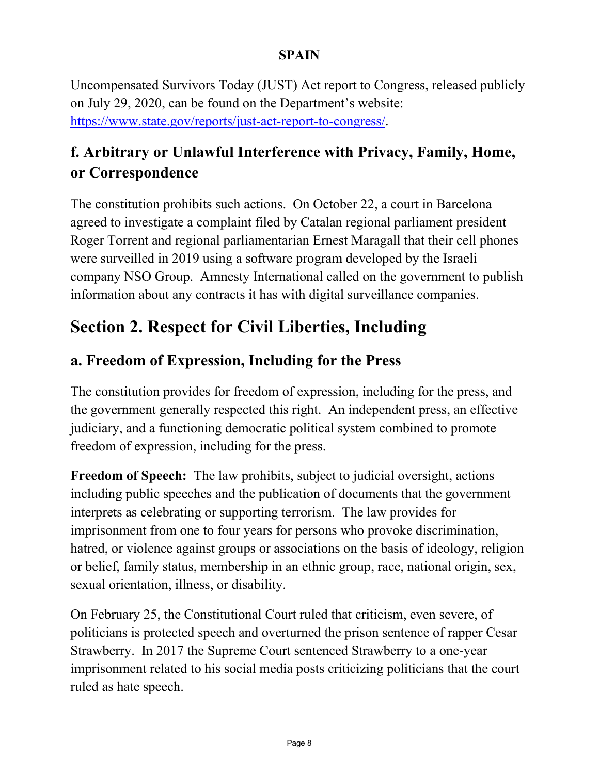Uncompensated Survivors Today (JUST) Act report to Congress, released publicly on July 29, 2020, can be found on the Department's website: [https://www.state.gov/reports/just-act-report-to-congress/.](https://www.state.gov/reports/just-act-report-to-congress/#_blank)

# **f. Arbitrary or Unlawful Interference with Privacy, Family, Home, or Correspondence**

The constitution prohibits such actions. On October 22, a court in Barcelona agreed to investigate a complaint filed by Catalan regional parliament president Roger Torrent and regional parliamentarian Ernest Maragall that their cell phones were surveilled in 2019 using a software program developed by the Israeli company NSO Group. Amnesty International called on the government to publish information about any contracts it has with digital surveillance companies.

# **Section 2. Respect for Civil Liberties, Including**

### **a. Freedom of Expression, Including for the Press**

The constitution provides for freedom of expression, including for the press, and the government generally respected this right. An independent press, an effective judiciary, and a functioning democratic political system combined to promote freedom of expression, including for the press.

**Freedom of Speech:** The law prohibits, subject to judicial oversight, actions including public speeches and the publication of documents that the government interprets as celebrating or supporting terrorism. The law provides for imprisonment from one to four years for persons who provoke discrimination, hatred, or violence against groups or associations on the basis of ideology, religion or belief, family status, membership in an ethnic group, race, national origin, sex, sexual orientation, illness, or disability.

On February 25, the Constitutional Court ruled that criticism, even severe, of politicians is protected speech and overturned the prison sentence of rapper Cesar Strawberry. In 2017 the Supreme Court sentenced Strawberry to a one-year imprisonment related to his social media posts criticizing politicians that the court ruled as hate speech.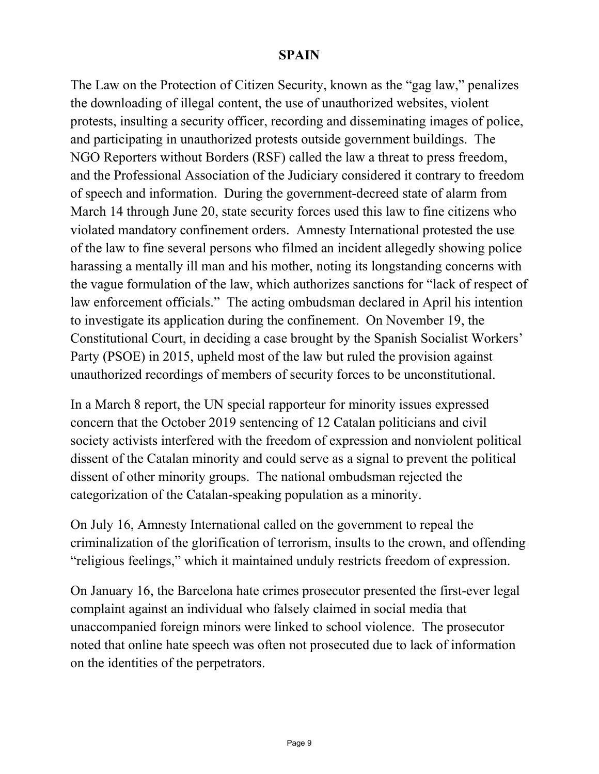The Law on the Protection of Citizen Security, known as the "gag law," penalizes the downloading of illegal content, the use of unauthorized websites, violent protests, insulting a security officer, recording and disseminating images of police, and participating in unauthorized protests outside government buildings. The NGO Reporters without Borders (RSF) called the law a threat to press freedom, and the Professional Association of the Judiciary considered it contrary to freedom of speech and information. During the government-decreed state of alarm from March 14 through June 20, state security forces used this law to fine citizens who violated mandatory confinement orders. Amnesty International protested the use of the law to fine several persons who filmed an incident allegedly showing police harassing a mentally ill man and his mother, noting its longstanding concerns with the vague formulation of the law, which authorizes sanctions for "lack of respect of law enforcement officials." The acting ombudsman declared in April his intention to investigate its application during the confinement. On November 19, the Constitutional Court, in deciding a case brought by the Spanish Socialist Workers' Party (PSOE) in 2015, upheld most of the law but ruled the provision against unauthorized recordings of members of security forces to be unconstitutional.

In a March 8 report, the UN special rapporteur for minority issues expressed concern that the October 2019 sentencing of 12 Catalan politicians and civil society activists interfered with the freedom of expression and nonviolent political dissent of the Catalan minority and could serve as a signal to prevent the political dissent of other minority groups. The national ombudsman rejected the categorization of the Catalan-speaking population as a minority.

On July 16, Amnesty International called on the government to repeal the criminalization of the glorification of terrorism, insults to the crown, and offending "religious feelings," which it maintained unduly restricts freedom of expression.

On January 16, the Barcelona hate crimes prosecutor presented the first-ever legal complaint against an individual who falsely claimed in social media that unaccompanied foreign minors were linked to school violence. The prosecutor noted that online hate speech was often not prosecuted due to lack of information on the identities of the perpetrators.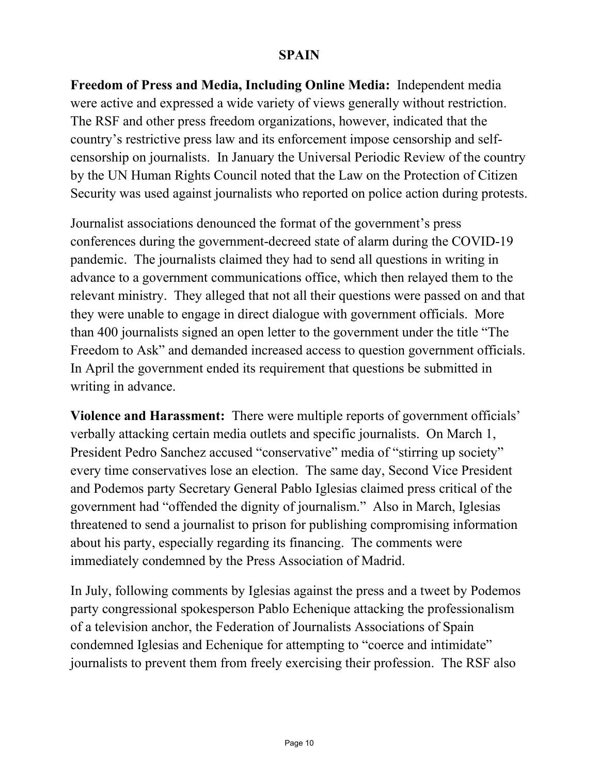**Freedom of Press and Media, Including Online Media:** Independent media were active and expressed a wide variety of views generally without restriction. The RSF and other press freedom organizations, however, indicated that the country's restrictive press law and its enforcement impose censorship and selfcensorship on journalists. In January the Universal Periodic Review of the country by the UN Human Rights Council noted that the Law on the Protection of Citizen Security was used against journalists who reported on police action during protests.

Journalist associations denounced the format of the government's press conferences during the government-decreed state of alarm during the COVID-19 pandemic. The journalists claimed they had to send all questions in writing in advance to a government communications office, which then relayed them to the relevant ministry. They alleged that not all their questions were passed on and that they were unable to engage in direct dialogue with government officials. More than 400 journalists signed an open letter to the government under the title "The Freedom to Ask" and demanded increased access to question government officials. In April the government ended its requirement that questions be submitted in writing in advance.

**Violence and Harassment:** There were multiple reports of government officials' verbally attacking certain media outlets and specific journalists. On March 1, President Pedro Sanchez accused "conservative" media of "stirring up society" every time conservatives lose an election. The same day, Second Vice President and Podemos party Secretary General Pablo Iglesias claimed press critical of the government had "offended the dignity of journalism." Also in March, Iglesias threatened to send a journalist to prison for publishing compromising information about his party, especially regarding its financing. The comments were immediately condemned by the Press Association of Madrid.

In July, following comments by Iglesias against the press and a tweet by Podemos party congressional spokesperson Pablo Echenique attacking the professionalism of a television anchor, the Federation of Journalists Associations of Spain condemned Iglesias and Echenique for attempting to "coerce and intimidate" journalists to prevent them from freely exercising their profession. The RSF also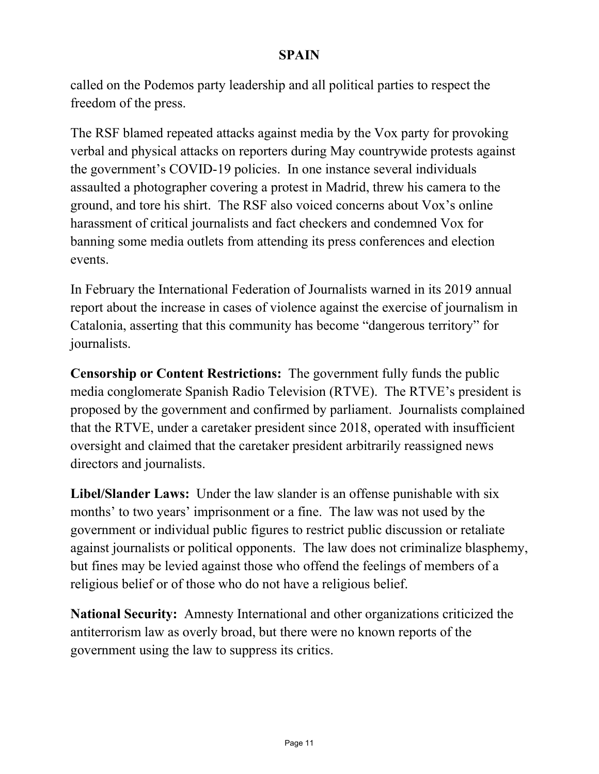called on the Podemos party leadership and all political parties to respect the freedom of the press.

The RSF blamed repeated attacks against media by the Vox party for provoking verbal and physical attacks on reporters during May countrywide protests against the government's COVID-19 policies. In one instance several individuals assaulted a photographer covering a protest in Madrid, threw his camera to the ground, and tore his shirt. The RSF also voiced concerns about Vox's online harassment of critical journalists and fact checkers and condemned Vox for banning some media outlets from attending its press conferences and election events.

In February the International Federation of Journalists warned in its 2019 annual report about the increase in cases of violence against the exercise of journalism in Catalonia, asserting that this community has become "dangerous territory" for journalists.

**Censorship or Content Restrictions:** The government fully funds the public media conglomerate Spanish Radio Television (RTVE). The RTVE's president is proposed by the government and confirmed by parliament. Journalists complained that the RTVE, under a caretaker president since 2018, operated with insufficient oversight and claimed that the caretaker president arbitrarily reassigned news directors and journalists.

**Libel/Slander Laws:** Under the law slander is an offense punishable with six months' to two years' imprisonment or a fine. The law was not used by the government or individual public figures to restrict public discussion or retaliate against journalists or political opponents. The law does not criminalize blasphemy, but fines may be levied against those who offend the feelings of members of a religious belief or of those who do not have a religious belief.

**National Security:** Amnesty International and other organizations criticized the antiterrorism law as overly broad, but there were no known reports of the government using the law to suppress its critics.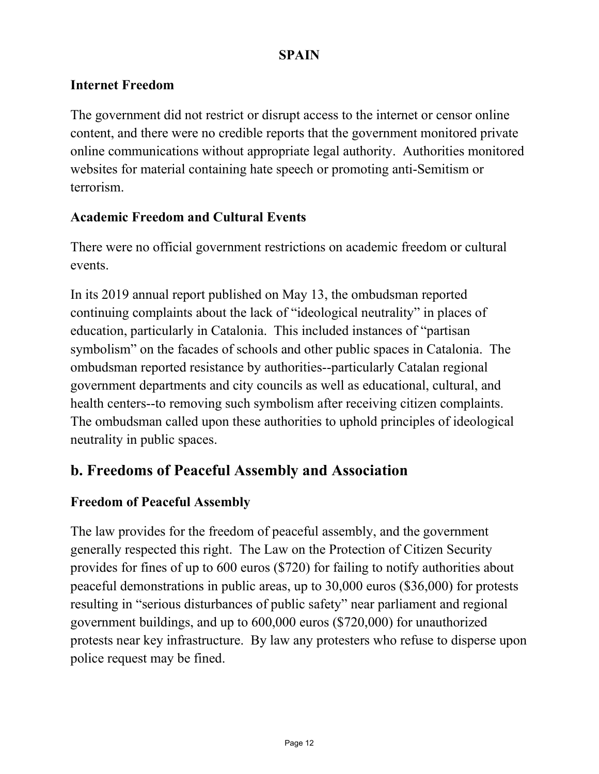### **Internet Freedom**

The government did not restrict or disrupt access to the internet or censor online content, and there were no credible reports that the government monitored private online communications without appropriate legal authority. Authorities monitored websites for material containing hate speech or promoting anti-Semitism or terrorism.

### **Academic Freedom and Cultural Events**

There were no official government restrictions on academic freedom or cultural events.

In its 2019 annual report published on May 13, the ombudsman reported continuing complaints about the lack of "ideological neutrality" in places of education, particularly in Catalonia. This included instances of "partisan symbolism" on the facades of schools and other public spaces in Catalonia. The ombudsman reported resistance by authorities--particularly Catalan regional government departments and city councils as well as educational, cultural, and health centers--to removing such symbolism after receiving citizen complaints. The ombudsman called upon these authorities to uphold principles of ideological neutrality in public spaces.

### **b. Freedoms of Peaceful Assembly and Association**

### **Freedom of Peaceful Assembly**

The law provides for the freedom of peaceful assembly, and the government generally respected this right. The Law on the Protection of Citizen Security provides for fines of up to 600 euros (\$720) for failing to notify authorities about peaceful demonstrations in public areas, up to 30,000 euros (\$36,000) for protests resulting in "serious disturbances of public safety" near parliament and regional government buildings, and up to 600,000 euros (\$720,000) for unauthorized protests near key infrastructure. By law any protesters who refuse to disperse upon police request may be fined.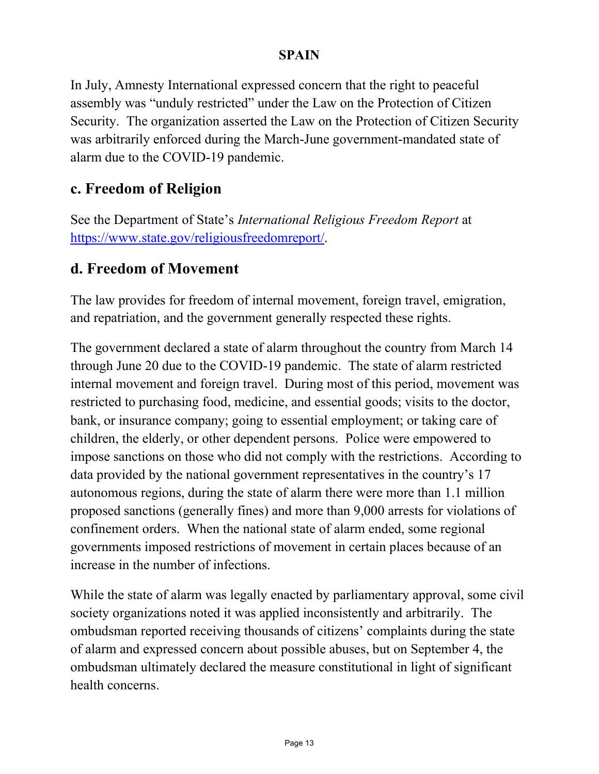In July, Amnesty International expressed concern that the right to peaceful assembly was "unduly restricted" under the Law on the Protection of Citizen Security. The organization asserted the Law on the Protection of Citizen Security was arbitrarily enforced during the March-June government-mandated state of alarm due to the COVID-19 pandemic.

### **c. Freedom of Religion**

See the Department of State's *International Religious Freedom Report* at [https://www.state.gov/religiousfreedomreport/.](https://www.state.gov/religiousfreedomreport/)

### **d. Freedom of Movement**

The law provides for freedom of internal movement, foreign travel, emigration, and repatriation, and the government generally respected these rights.

The government declared a state of alarm throughout the country from March 14 through June 20 due to the COVID-19 pandemic. The state of alarm restricted internal movement and foreign travel. During most of this period, movement was restricted to purchasing food, medicine, and essential goods; visits to the doctor, bank, or insurance company; going to essential employment; or taking care of children, the elderly, or other dependent persons. Police were empowered to impose sanctions on those who did not comply with the restrictions. According to data provided by the national government representatives in the country's 17 autonomous regions, during the state of alarm there were more than 1.1 million proposed sanctions (generally fines) and more than 9,000 arrests for violations of confinement orders. When the national state of alarm ended, some regional governments imposed restrictions of movement in certain places because of an increase in the number of infections.

While the state of alarm was legally enacted by parliamentary approval, some civil society organizations noted it was applied inconsistently and arbitrarily. The ombudsman reported receiving thousands of citizens' complaints during the state of alarm and expressed concern about possible abuses, but on September 4, the ombudsman ultimately declared the measure constitutional in light of significant health concerns.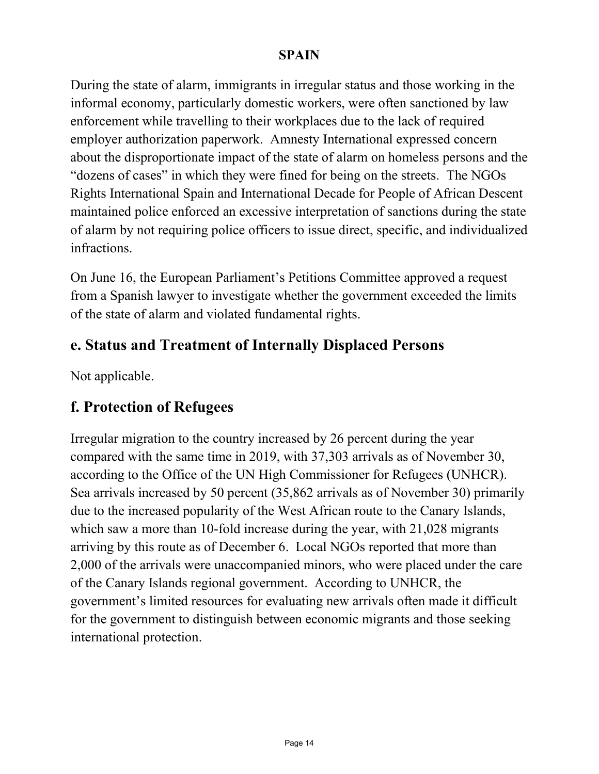During the state of alarm, immigrants in irregular status and those working in the informal economy, particularly domestic workers, were often sanctioned by law enforcement while travelling to their workplaces due to the lack of required employer authorization paperwork. Amnesty International expressed concern about the disproportionate impact of the state of alarm on homeless persons and the "dozens of cases" in which they were fined for being on the streets. The NGOs Rights International Spain and International Decade for People of African Descent maintained police enforced an excessive interpretation of sanctions during the state of alarm by not requiring police officers to issue direct, specific, and individualized infractions.

On June 16, the European Parliament's Petitions Committee approved a request from a Spanish lawyer to investigate whether the government exceeded the limits of the state of alarm and violated fundamental rights.

### **e. Status and Treatment of Internally Displaced Persons**

Not applicable.

### **f. Protection of Refugees**

Irregular migration to the country increased by 26 percent during the year compared with the same time in 2019, with 37,303 arrivals as of November 30, according to the Office of the UN High Commissioner for Refugees (UNHCR). Sea arrivals increased by 50 percent (35,862 arrivals as of November 30) primarily due to the increased popularity of the West African route to the Canary Islands, which saw a more than 10-fold increase during the year, with 21,028 migrants arriving by this route as of December 6. Local NGOs reported that more than 2,000 of the arrivals were unaccompanied minors, who were placed under the care of the Canary Islands regional government. According to UNHCR, the government's limited resources for evaluating new arrivals often made it difficult for the government to distinguish between economic migrants and those seeking international protection.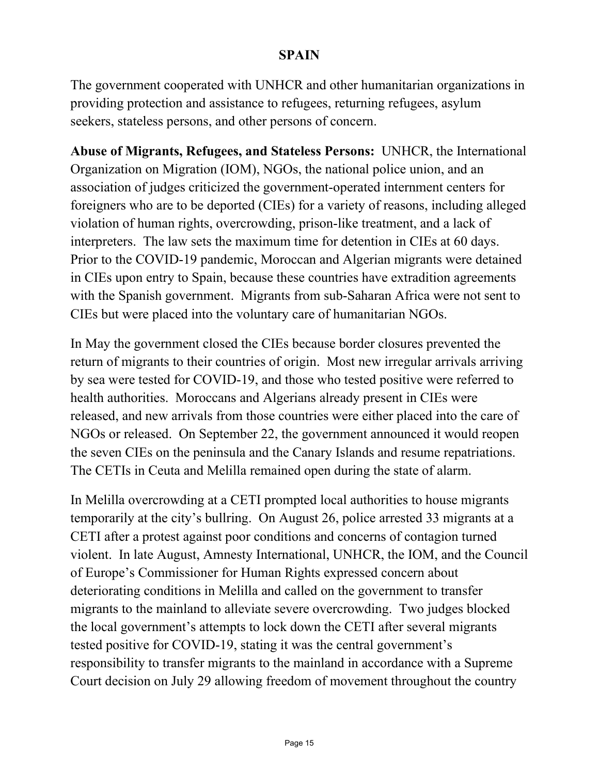The government cooperated with UNHCR and other humanitarian organizations in providing protection and assistance to refugees, returning refugees, asylum seekers, stateless persons, and other persons of concern.

**Abuse of Migrants, Refugees, and Stateless Persons:** UNHCR, the International Organization on Migration (IOM), NGOs, the national police union, and an association of judges criticized the government-operated internment centers for foreigners who are to be deported (CIEs) for a variety of reasons, including alleged violation of human rights, overcrowding, prison-like treatment, and a lack of interpreters. The law sets the maximum time for detention in CIEs at 60 days. Prior to the COVID-19 pandemic, Moroccan and Algerian migrants were detained in CIEs upon entry to Spain, because these countries have extradition agreements with the Spanish government. Migrants from sub-Saharan Africa were not sent to CIEs but were placed into the voluntary care of humanitarian NGOs.

In May the government closed the CIEs because border closures prevented the return of migrants to their countries of origin. Most new irregular arrivals arriving by sea were tested for COVID-19, and those who tested positive were referred to health authorities. Moroccans and Algerians already present in CIEs were released, and new arrivals from those countries were either placed into the care of NGOs or released. On September 22, the government announced it would reopen the seven CIEs on the peninsula and the Canary Islands and resume repatriations. The CETIs in Ceuta and Melilla remained open during the state of alarm.

In Melilla overcrowding at a CETI prompted local authorities to house migrants temporarily at the city's bullring. On August 26, police arrested 33 migrants at a CETI after a protest against poor conditions and concerns of contagion turned violent. In late August, Amnesty International, UNHCR, the IOM, and the Council of Europe's Commissioner for Human Rights expressed concern about deteriorating conditions in Melilla and called on the government to transfer migrants to the mainland to alleviate severe overcrowding. Two judges blocked the local government's attempts to lock down the CETI after several migrants tested positive for COVID-19, stating it was the central government's responsibility to transfer migrants to the mainland in accordance with a Supreme Court decision on July 29 allowing freedom of movement throughout the country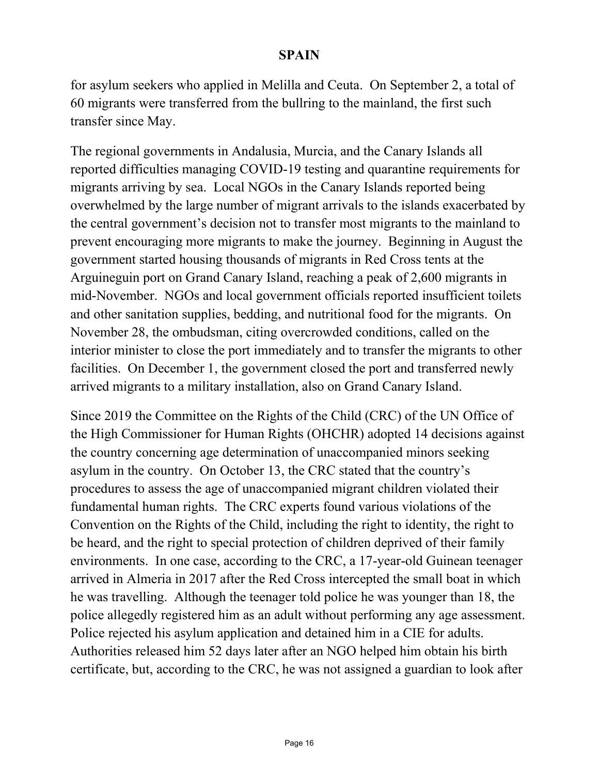for asylum seekers who applied in Melilla and Ceuta. On September 2, a total of 60 migrants were transferred from the bullring to the mainland, the first such transfer since May.

The regional governments in Andalusia, Murcia, and the Canary Islands all reported difficulties managing COVID-19 testing and quarantine requirements for migrants arriving by sea. Local NGOs in the Canary Islands reported being overwhelmed by the large number of migrant arrivals to the islands exacerbated by the central government's decision not to transfer most migrants to the mainland to prevent encouraging more migrants to make the journey. Beginning in August the government started housing thousands of migrants in Red Cross tents at the Arguineguin port on Grand Canary Island, reaching a peak of 2,600 migrants in mid-November. NGOs and local government officials reported insufficient toilets and other sanitation supplies, bedding, and nutritional food for the migrants. On November 28, the ombudsman, citing overcrowded conditions, called on the interior minister to close the port immediately and to transfer the migrants to other facilities. On December 1, the government closed the port and transferred newly arrived migrants to a military installation, also on Grand Canary Island.

Since 2019 the Committee on the Rights of the Child (CRC) of the UN Office of the High Commissioner for Human Rights (OHCHR) adopted 14 decisions against the country concerning age determination of unaccompanied minors seeking asylum in the country. On October 13, the CRC stated that the country's procedures to assess the age of unaccompanied migrant children violated their fundamental human rights. The CRC experts found various violations of the Convention on the Rights of the Child, including the right to identity, the right to be heard, and the right to special protection of children deprived of their family environments. In one case, according to the CRC, a 17-year-old Guinean teenager arrived in Almeria in 2017 after the Red Cross intercepted the small boat in which he was travelling. Although the teenager told police he was younger than 18, the police allegedly registered him as an adult without performing any age assessment. Police rejected his asylum application and detained him in a CIE for adults. Authorities released him 52 days later after an NGO helped him obtain his birth certificate, but, according to the CRC, he was not assigned a guardian to look after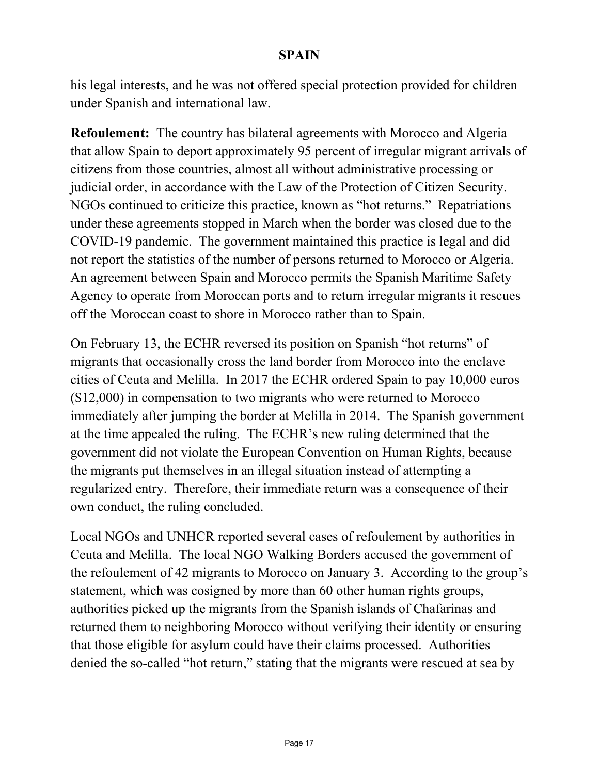his legal interests, and he was not offered special protection provided for children under Spanish and international law.

**Refoulement:** The country has bilateral agreements with Morocco and Algeria that allow Spain to deport approximately 95 percent of irregular migrant arrivals of citizens from those countries, almost all without administrative processing or judicial order, in accordance with the Law of the Protection of Citizen Security. NGOs continued to criticize this practice, known as "hot returns." Repatriations under these agreements stopped in March when the border was closed due to the COVID-19 pandemic. The government maintained this practice is legal and did not report the statistics of the number of persons returned to Morocco or Algeria. An agreement between Spain and Morocco permits the Spanish Maritime Safety Agency to operate from Moroccan ports and to return irregular migrants it rescues off the Moroccan coast to shore in Morocco rather than to Spain.

On February 13, the ECHR reversed its position on Spanish "hot returns" of migrants that occasionally cross the land border from Morocco into the enclave cities of Ceuta and Melilla. In 2017 the ECHR ordered Spain to pay 10,000 euros (\$12,000) in compensation to two migrants who were returned to Morocco immediately after jumping the border at Melilla in 2014. The Spanish government at the time appealed the ruling. The ECHR's new ruling determined that the government did not violate the European Convention on Human Rights, because the migrants put themselves in an illegal situation instead of attempting a regularized entry. Therefore, their immediate return was a consequence of their own conduct, the ruling concluded.

Local NGOs and UNHCR reported several cases of refoulement by authorities in Ceuta and Melilla. The local NGO Walking Borders accused the government of the refoulement of 42 migrants to Morocco on January 3. According to the group's statement, which was cosigned by more than 60 other human rights groups, authorities picked up the migrants from the Spanish islands of Chafarinas and returned them to neighboring Morocco without verifying their identity or ensuring that those eligible for asylum could have their claims processed. Authorities denied the so-called "hot return," stating that the migrants were rescued at sea by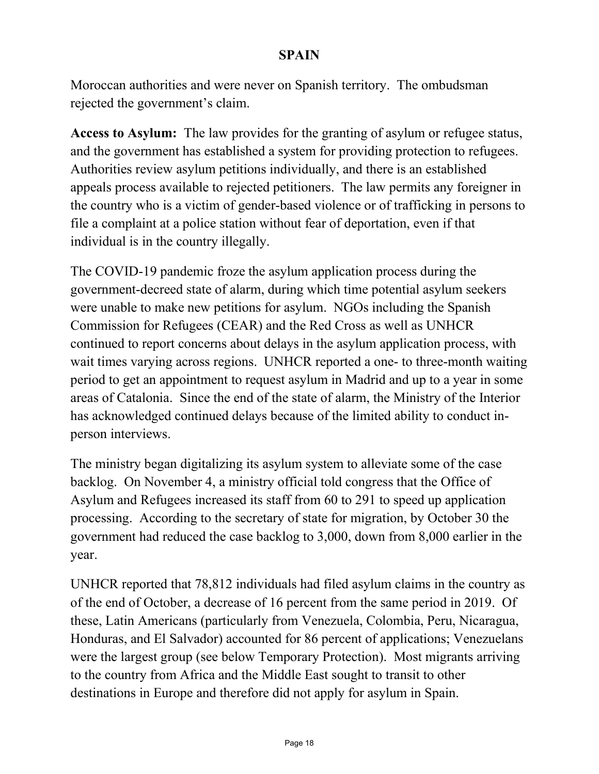Moroccan authorities and were never on Spanish territory. The ombudsman rejected the government's claim.

**Access to Asylum:** The law provides for the granting of asylum or refugee status, and the government has established a system for providing protection to refugees. Authorities review asylum petitions individually, and there is an established appeals process available to rejected petitioners. The law permits any foreigner in the country who is a victim of gender-based violence or of trafficking in persons to file a complaint at a police station without fear of deportation, even if that individual is in the country illegally.

The COVID-19 pandemic froze the asylum application process during the government-decreed state of alarm, during which time potential asylum seekers were unable to make new petitions for asylum. NGOs including the Spanish Commission for Refugees (CEAR) and the Red Cross as well as UNHCR continued to report concerns about delays in the asylum application process, with wait times varying across regions. UNHCR reported a one- to three-month waiting period to get an appointment to request asylum in Madrid and up to a year in some areas of Catalonia. Since the end of the state of alarm, the Ministry of the Interior has acknowledged continued delays because of the limited ability to conduct inperson interviews.

The ministry began digitalizing its asylum system to alleviate some of the case backlog. On November 4, a ministry official told congress that the Office of Asylum and Refugees increased its staff from 60 to 291 to speed up application processing. According to the secretary of state for migration, by October 30 the government had reduced the case backlog to 3,000, down from 8,000 earlier in the year.

UNHCR reported that 78,812 individuals had filed asylum claims in the country as of the end of October, a decrease of 16 percent from the same period in 2019. Of these, Latin Americans (particularly from Venezuela, Colombia, Peru, Nicaragua, Honduras, and El Salvador) accounted for 86 percent of applications; Venezuelans were the largest group (see below Temporary Protection). Most migrants arriving to the country from Africa and the Middle East sought to transit to other destinations in Europe and therefore did not apply for asylum in Spain.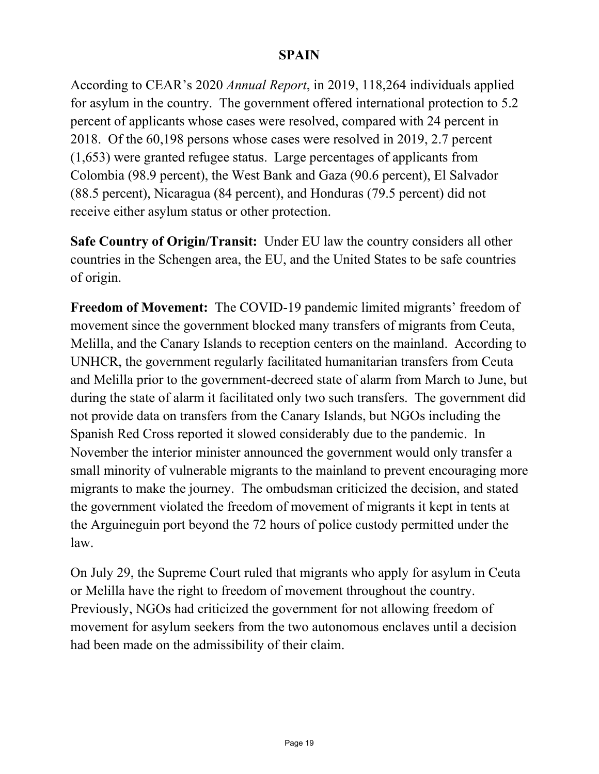According to CEAR's 2020 *Annual Report*, in 2019, 118,264 individuals applied for asylum in the country. The government offered international protection to 5.2 percent of applicants whose cases were resolved, compared with 24 percent in 2018. Of the 60,198 persons whose cases were resolved in 2019, 2.7 percent (1,653) were granted refugee status. Large percentages of applicants from Colombia (98.9 percent), the West Bank and Gaza (90.6 percent), El Salvador (88.5 percent), Nicaragua (84 percent), and Honduras (79.5 percent) did not receive either asylum status or other protection.

**Safe Country of Origin/Transit:** Under EU law the country considers all other countries in the Schengen area, the EU, and the United States to be safe countries of origin.

**Freedom of Movement:** The COVID-19 pandemic limited migrants' freedom of movement since the government blocked many transfers of migrants from Ceuta, Melilla, and the Canary Islands to reception centers on the mainland. According to UNHCR, the government regularly facilitated humanitarian transfers from Ceuta and Melilla prior to the government-decreed state of alarm from March to June, but during the state of alarm it facilitated only two such transfers. The government did not provide data on transfers from the Canary Islands, but NGOs including the Spanish Red Cross reported it slowed considerably due to the pandemic. In November the interior minister announced the government would only transfer a small minority of vulnerable migrants to the mainland to prevent encouraging more migrants to make the journey. The ombudsman criticized the decision, and stated the government violated the freedom of movement of migrants it kept in tents at the Arguineguin port beyond the 72 hours of police custody permitted under the law.

On July 29, the Supreme Court ruled that migrants who apply for asylum in Ceuta or Melilla have the right to freedom of movement throughout the country. Previously, NGOs had criticized the government for not allowing freedom of movement for asylum seekers from the two autonomous enclaves until a decision had been made on the admissibility of their claim.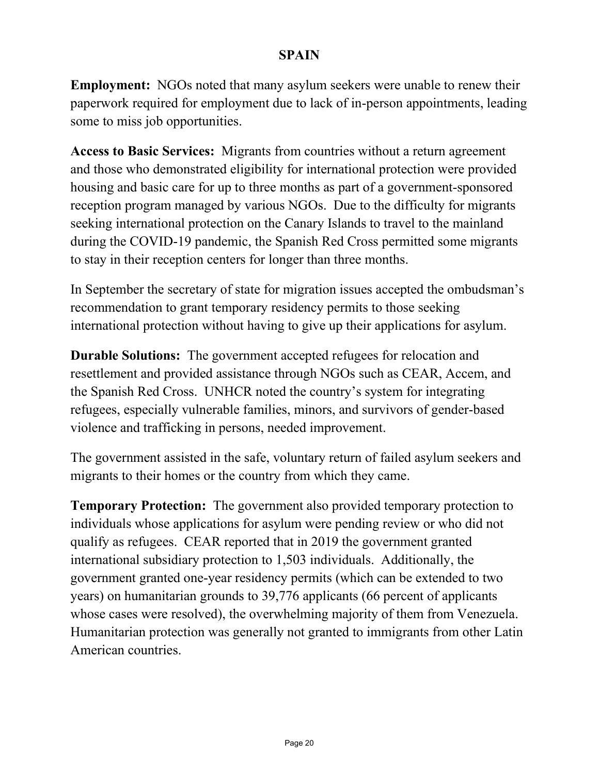**Employment:** NGOs noted that many asylum seekers were unable to renew their paperwork required for employment due to lack of in-person appointments, leading some to miss job opportunities.

**Access to Basic Services:** Migrants from countries without a return agreement and those who demonstrated eligibility for international protection were provided housing and basic care for up to three months as part of a government-sponsored reception program managed by various NGOs. Due to the difficulty for migrants seeking international protection on the Canary Islands to travel to the mainland during the COVID-19 pandemic, the Spanish Red Cross permitted some migrants to stay in their reception centers for longer than three months.

In September the secretary of state for migration issues accepted the ombudsman's recommendation to grant temporary residency permits to those seeking international protection without having to give up their applications for asylum.

**Durable Solutions:** The government accepted refugees for relocation and resettlement and provided assistance through NGOs such as CEAR, Accem, and the Spanish Red Cross. UNHCR noted the country's system for integrating refugees, especially vulnerable families, minors, and survivors of gender-based violence and trafficking in persons, needed improvement.

The government assisted in the safe, voluntary return of failed asylum seekers and migrants to their homes or the country from which they came.

**Temporary Protection:** The government also provided temporary protection to individuals whose applications for asylum were pending review or who did not qualify as refugees. CEAR reported that in 2019 the government granted international subsidiary protection to 1,503 individuals. Additionally, the government granted one-year residency permits (which can be extended to two years) on humanitarian grounds to 39,776 applicants (66 percent of applicants whose cases were resolved), the overwhelming majority of them from Venezuela. Humanitarian protection was generally not granted to immigrants from other Latin American countries.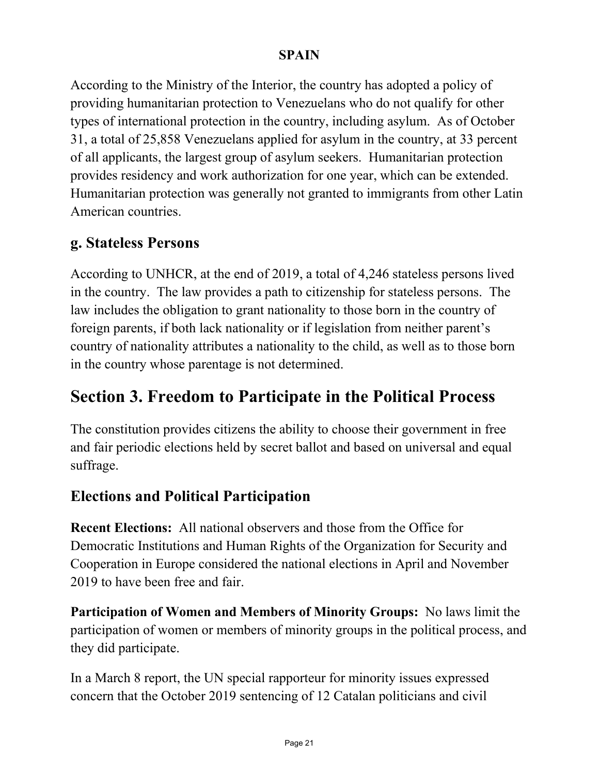According to the Ministry of the Interior, the country has adopted a policy of providing humanitarian protection to Venezuelans who do not qualify for other types of international protection in the country, including asylum. As of October 31, a total of 25,858 Venezuelans applied for asylum in the country, at 33 percent of all applicants, the largest group of asylum seekers. Humanitarian protection provides residency and work authorization for one year, which can be extended. Humanitarian protection was generally not granted to immigrants from other Latin American countries.

### **g. Stateless Persons**

According to UNHCR, at the end of 2019, a total of 4,246 stateless persons lived in the country. The law provides a path to citizenship for stateless persons. The law includes the obligation to grant nationality to those born in the country of foreign parents, if both lack nationality or if legislation from neither parent's country of nationality attributes a nationality to the child, as well as to those born in the country whose parentage is not determined.

# **Section 3. Freedom to Participate in the Political Process**

The constitution provides citizens the ability to choose their government in free and fair periodic elections held by secret ballot and based on universal and equal suffrage.

### **Elections and Political Participation**

**Recent Elections:** All national observers and those from the Office for Democratic Institutions and Human Rights of the Organization for Security and Cooperation in Europe considered the national elections in April and November 2019 to have been free and fair.

**Participation of Women and Members of Minority Groups:** No laws limit the participation of women or members of minority groups in the political process, and they did participate.

In a March 8 report, the UN special rapporteur for minority issues expressed concern that the October 2019 sentencing of 12 Catalan politicians and civil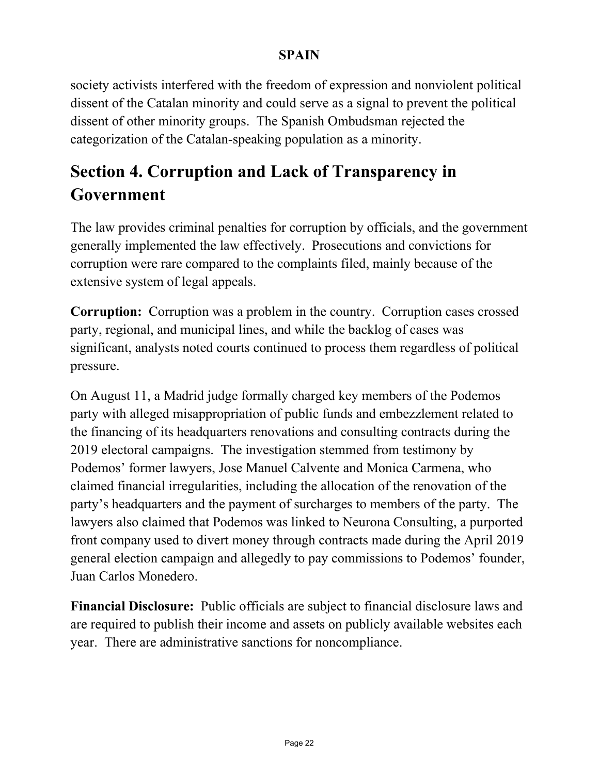society activists interfered with the freedom of expression and nonviolent political dissent of the Catalan minority and could serve as a signal to prevent the political dissent of other minority groups. The Spanish Ombudsman rejected the categorization of the Catalan-speaking population as a minority.

# **Section 4. Corruption and Lack of Transparency in Government**

The law provides criminal penalties for corruption by officials, and the government generally implemented the law effectively. Prosecutions and convictions for corruption were rare compared to the complaints filed, mainly because of the extensive system of legal appeals.

**Corruption:** Corruption was a problem in the country. Corruption cases crossed party, regional, and municipal lines, and while the backlog of cases was significant, analysts noted courts continued to process them regardless of political pressure.

On August 11, a Madrid judge formally charged key members of the Podemos party with alleged misappropriation of public funds and embezzlement related to the financing of its headquarters renovations and consulting contracts during the 2019 electoral campaigns. The investigation stemmed from testimony by Podemos' former lawyers, Jose Manuel Calvente and Monica Carmena, who claimed financial irregularities, including the allocation of the renovation of the party's headquarters and the payment of surcharges to members of the party. The lawyers also claimed that Podemos was linked to Neurona Consulting, a purported front company used to divert money through contracts made during the April 2019 general election campaign and allegedly to pay commissions to Podemos' founder, Juan Carlos Monedero.

**Financial Disclosure:** Public officials are subject to financial disclosure laws and are required to publish their income and assets on publicly available websites each year. There are administrative sanctions for noncompliance.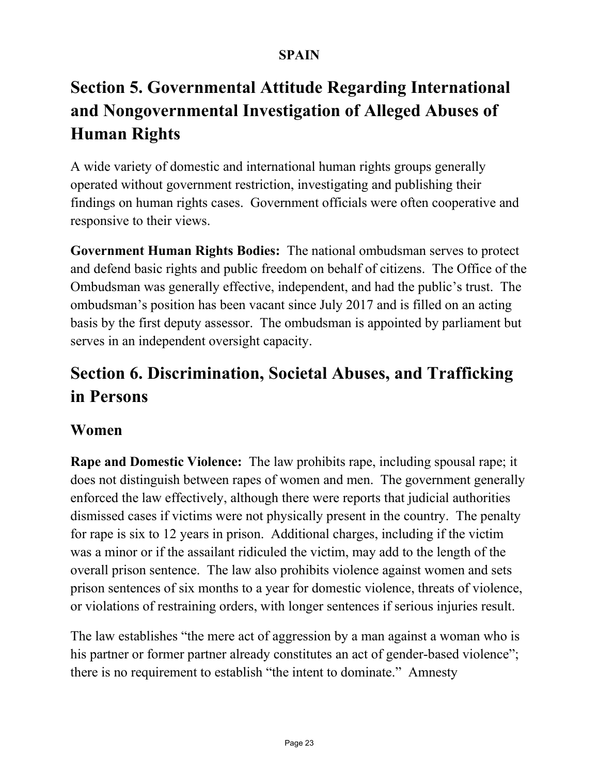# **Section 5. Governmental Attitude Regarding International and Nongovernmental Investigation of Alleged Abuses of Human Rights**

A wide variety of domestic and international human rights groups generally operated without government restriction, investigating and publishing their findings on human rights cases. Government officials were often cooperative and responsive to their views.

**Government Human Rights Bodies:** The national ombudsman serves to protect and defend basic rights and public freedom on behalf of citizens. The Office of the Ombudsman was generally effective, independent, and had the public's trust. The ombudsman's position has been vacant since July 2017 and is filled on an acting basis by the first deputy assessor. The ombudsman is appointed by parliament but serves in an independent oversight capacity.

# **Section 6. Discrimination, Societal Abuses, and Trafficking in Persons**

### **Women**

**Rape and Domestic Violence:** The law prohibits rape, including spousal rape; it does not distinguish between rapes of women and men. The government generally enforced the law effectively, although there were reports that judicial authorities dismissed cases if victims were not physically present in the country. The penalty for rape is six to 12 years in prison. Additional charges, including if the victim was a minor or if the assailant ridiculed the victim, may add to the length of the overall prison sentence. The law also prohibits violence against women and sets prison sentences of six months to a year for domestic violence, threats of violence, or violations of restraining orders, with longer sentences if serious injuries result.

The law establishes "the mere act of aggression by a man against a woman who is his partner or former partner already constitutes an act of gender-based violence"; there is no requirement to establish "the intent to dominate." Amnesty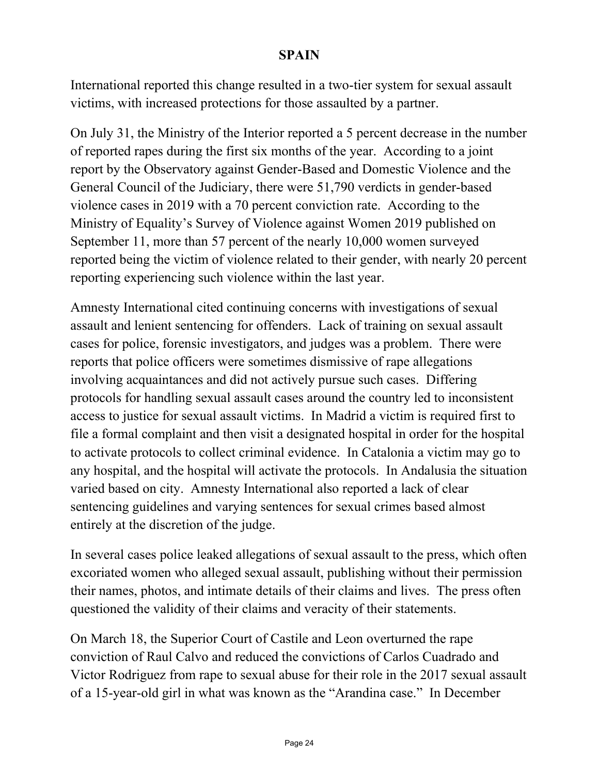International reported this change resulted in a two-tier system for sexual assault victims, with increased protections for those assaulted by a partner.

On July 31, the Ministry of the Interior reported a 5 percent decrease in the number of reported rapes during the first six months of the year. According to a joint report by the Observatory against Gender-Based and Domestic Violence and the General Council of the Judiciary, there were 51,790 verdicts in gender-based violence cases in 2019 with a 70 percent conviction rate. According to the Ministry of Equality's Survey of Violence against Women 2019 published on September 11, more than 57 percent of the nearly 10,000 women surveyed reported being the victim of violence related to their gender, with nearly 20 percent reporting experiencing such violence within the last year.

Amnesty International cited continuing concerns with investigations of sexual assault and lenient sentencing for offenders. Lack of training on sexual assault cases for police, forensic investigators, and judges was a problem. There were reports that police officers were sometimes dismissive of rape allegations involving acquaintances and did not actively pursue such cases. Differing protocols for handling sexual assault cases around the country led to inconsistent access to justice for sexual assault victims. In Madrid a victim is required first to file a formal complaint and then visit a designated hospital in order for the hospital to activate protocols to collect criminal evidence. In Catalonia a victim may go to any hospital, and the hospital will activate the protocols. In Andalusia the situation varied based on city. Amnesty International also reported a lack of clear sentencing guidelines and varying sentences for sexual crimes based almost entirely at the discretion of the judge.

In several cases police leaked allegations of sexual assault to the press, which often excoriated women who alleged sexual assault, publishing without their permission their names, photos, and intimate details of their claims and lives. The press often questioned the validity of their claims and veracity of their statements.

On March 18, the Superior Court of Castile and Leon overturned the rape conviction of Raul Calvo and reduced the convictions of Carlos Cuadrado and Victor Rodriguez from rape to sexual abuse for their role in the 2017 sexual assault of a 15-year-old girl in what was known as the "Arandina case." In December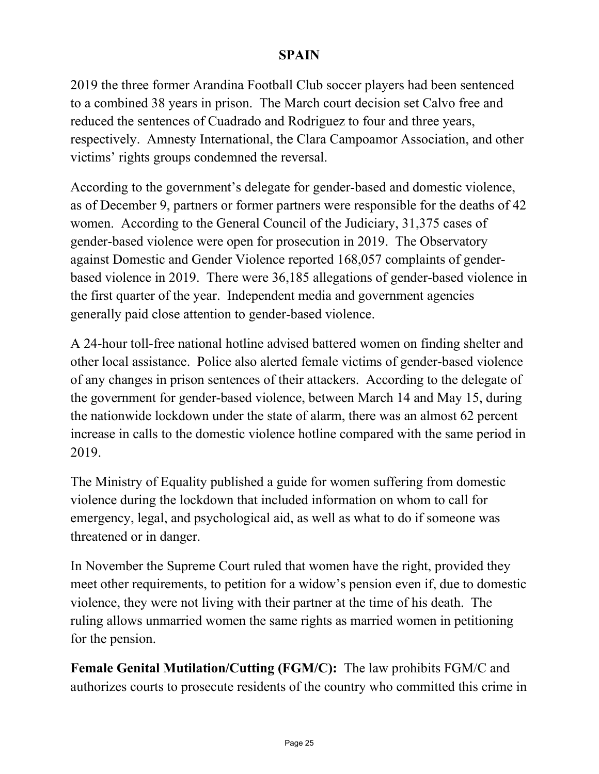2019 the three former Arandina Football Club soccer players had been sentenced to a combined 38 years in prison. The March court decision set Calvo free and reduced the sentences of Cuadrado and Rodriguez to four and three years, respectively. Amnesty International, the Clara Campoamor Association, and other victims' rights groups condemned the reversal.

According to the government's delegate for gender-based and domestic violence, as of December 9, partners or former partners were responsible for the deaths of 42 women. According to the General Council of the Judiciary, 31,375 cases of gender-based violence were open for prosecution in 2019. The Observatory against Domestic and Gender Violence reported 168,057 complaints of genderbased violence in 2019. There were 36,185 allegations of gender-based violence in the first quarter of the year. Independent media and government agencies generally paid close attention to gender-based violence.

A 24-hour toll-free national hotline advised battered women on finding shelter and other local assistance. Police also alerted female victims of gender-based violence of any changes in prison sentences of their attackers. According to the delegate of the government for gender-based violence, between March 14 and May 15, during the nationwide lockdown under the state of alarm, there was an almost 62 percent increase in calls to the domestic violence hotline compared with the same period in 2019.

The Ministry of Equality published a guide for women suffering from domestic violence during the lockdown that included information on whom to call for emergency, legal, and psychological aid, as well as what to do if someone was threatened or in danger.

In November the Supreme Court ruled that women have the right, provided they meet other requirements, to petition for a widow's pension even if, due to domestic violence, they were not living with their partner at the time of his death. The ruling allows unmarried women the same rights as married women in petitioning for the pension.

**Female Genital Mutilation/Cutting (FGM/C):** The law prohibits FGM/C and authorizes courts to prosecute residents of the country who committed this crime in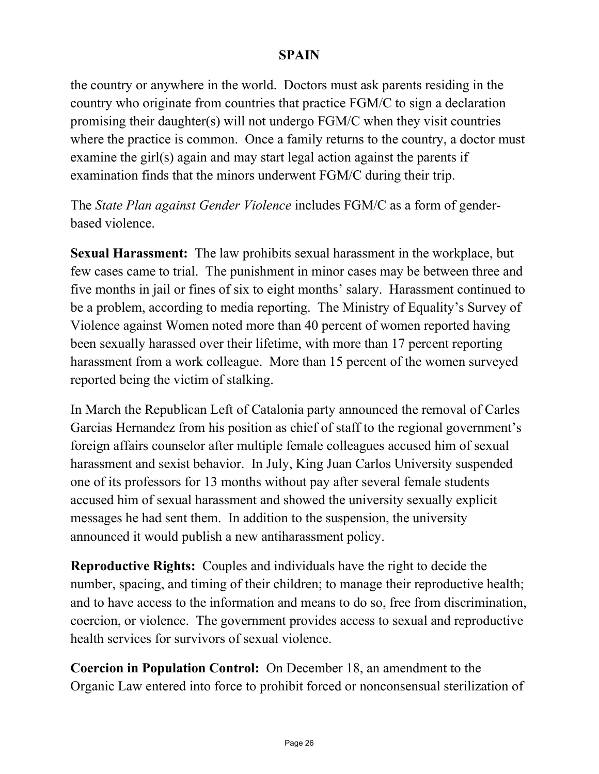the country or anywhere in the world. Doctors must ask parents residing in the country who originate from countries that practice FGM/C to sign a declaration promising their daughter(s) will not undergo FGM/C when they visit countries where the practice is common. Once a family returns to the country, a doctor must examine the girl(s) again and may start legal action against the parents if examination finds that the minors underwent FGM/C during their trip.

The *State Plan against Gender Violence* includes FGM/C as a form of genderbased violence.

**Sexual Harassment:** The law prohibits sexual harassment in the workplace, but few cases came to trial. The punishment in minor cases may be between three and five months in jail or fines of six to eight months' salary. Harassment continued to be a problem, according to media reporting. The Ministry of Equality's Survey of Violence against Women noted more than 40 percent of women reported having been sexually harassed over their lifetime, with more than 17 percent reporting harassment from a work colleague. More than 15 percent of the women surveyed reported being the victim of stalking.

In March the Republican Left of Catalonia party announced the removal of Carles Garcias Hernandez from his position as chief of staff to the regional government's foreign affairs counselor after multiple female colleagues accused him of sexual harassment and sexist behavior. In July, King Juan Carlos University suspended one of its professors for 13 months without pay after several female students accused him of sexual harassment and showed the university sexually explicit messages he had sent them. In addition to the suspension, the university announced it would publish a new antiharassment policy.

**Reproductive Rights:** Couples and individuals have the right to decide the number, spacing, and timing of their children; to manage their reproductive health; and to have access to the information and means to do so, free from discrimination, coercion, or violence. The government provides access to sexual and reproductive health services for survivors of sexual violence.

**Coercion in Population Control:** On December 18, an amendment to the Organic Law entered into force to prohibit forced or nonconsensual sterilization of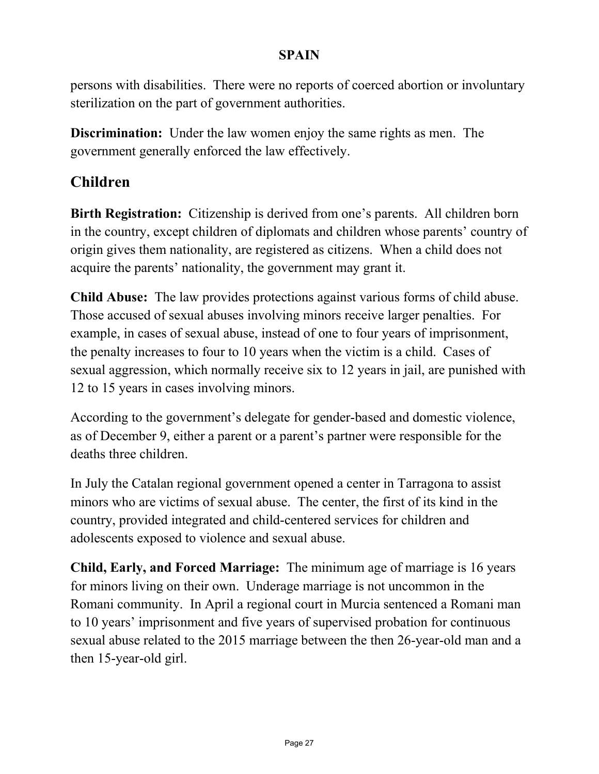persons with disabilities. There were no reports of coerced abortion or involuntary sterilization on the part of government authorities.

**Discrimination:** Under the law women enjoy the same rights as men. The government generally enforced the law effectively.

### **Children**

**Birth Registration:** Citizenship is derived from one's parents. All children born in the country, except children of diplomats and children whose parents' country of origin gives them nationality, are registered as citizens. When a child does not acquire the parents' nationality, the government may grant it.

**Child Abuse:** The law provides protections against various forms of child abuse. Those accused of sexual abuses involving minors receive larger penalties. For example, in cases of sexual abuse, instead of one to four years of imprisonment, the penalty increases to four to 10 years when the victim is a child. Cases of sexual aggression, which normally receive six to 12 years in jail, are punished with 12 to 15 years in cases involving minors.

According to the government's delegate for gender-based and domestic violence, as of December 9, either a parent or a parent's partner were responsible for the deaths three children.

In July the Catalan regional government opened a center in Tarragona to assist minors who are victims of sexual abuse. The center, the first of its kind in the country, provided integrated and child-centered services for children and adolescents exposed to violence and sexual abuse.

**Child, Early, and Forced Marriage:** The minimum age of marriage is 16 years for minors living on their own. Underage marriage is not uncommon in the Romani community. In April a regional court in Murcia sentenced a Romani man to 10 years' imprisonment and five years of supervised probation for continuous sexual abuse related to the 2015 marriage between the then 26-year-old man and a then 15-year-old girl.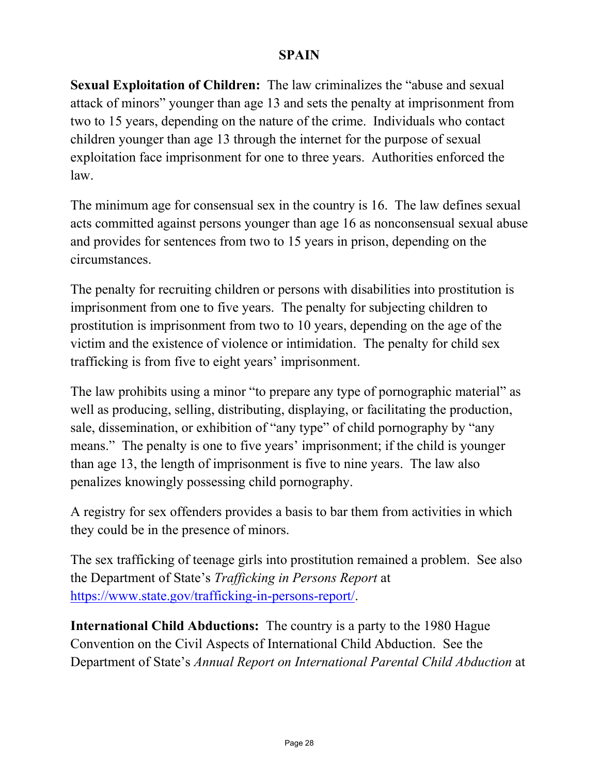**Sexual Exploitation of Children:** The law criminalizes the "abuse and sexual attack of minors" younger than age 13 and sets the penalty at imprisonment from two to 15 years, depending on the nature of the crime. Individuals who contact children younger than age 13 through the internet for the purpose of sexual exploitation face imprisonment for one to three years. Authorities enforced the law.

The minimum age for consensual sex in the country is 16. The law defines sexual acts committed against persons younger than age 16 as nonconsensual sexual abuse and provides for sentences from two to 15 years in prison, depending on the circumstances.

The penalty for recruiting children or persons with disabilities into prostitution is imprisonment from one to five years. The penalty for subjecting children to prostitution is imprisonment from two to 10 years, depending on the age of the victim and the existence of violence or intimidation. The penalty for child sex trafficking is from five to eight years' imprisonment.

The law prohibits using a minor "to prepare any type of pornographic material" as well as producing, selling, distributing, displaying, or facilitating the production, sale, dissemination, or exhibition of "any type" of child pornography by "any means." The penalty is one to five years' imprisonment; if the child is younger than age 13, the length of imprisonment is five to nine years. The law also penalizes knowingly possessing child pornography.

A registry for sex offenders provides a basis to bar them from activities in which they could be in the presence of minors.

The sex trafficking of teenage girls into prostitution remained a problem. See also the Department of State's *Trafficking in Persons Report* at [https://www.state.gov/trafficking-in-persons-report/.](https://www.state.gov/trafficking-in-persons-report/)

**International Child Abductions:** The country is a party to the 1980 Hague Convention on the Civil Aspects of International Child Abduction. See the Department of State's *Annual Report on International Parental Child Abduction* at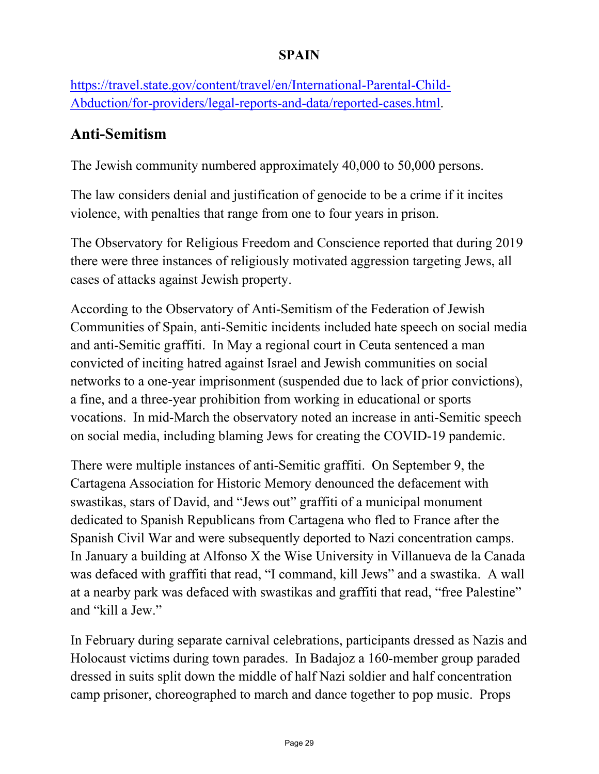[https://travel.state.gov/content/travel/en/International-Parental-Child-](https://travel.state.gov/content/travel/en/International-Parental-Child-Abduction/for-providers/legal-reports-and-data/reported-cases.html)[Abduction/for-providers/legal-reports-and-data/reported-cases.html.](https://travel.state.gov/content/travel/en/International-Parental-Child-Abduction/for-providers/legal-reports-and-data/reported-cases.html)

### **Anti-Semitism**

The Jewish community numbered approximately 40,000 to 50,000 persons.

The law considers denial and justification of genocide to be a crime if it incites violence, with penalties that range from one to four years in prison.

The Observatory for Religious Freedom and Conscience reported that during 2019 there were three instances of religiously motivated aggression targeting Jews, all cases of attacks against Jewish property.

According to the Observatory of Anti-Semitism of the Federation of Jewish Communities of Spain, anti-Semitic incidents included hate speech on social media and anti-Semitic graffiti. In May a regional court in Ceuta sentenced a man convicted of inciting hatred against Israel and Jewish communities on social networks to a one-year imprisonment (suspended due to lack of prior convictions), a fine, and a three-year prohibition from working in educational or sports vocations. In mid-March the observatory noted an increase in anti-Semitic speech on social media, including blaming Jews for creating the COVID-19 pandemic.

There were multiple instances of anti-Semitic graffiti. On September 9, the Cartagena Association for Historic Memory denounced the defacement with swastikas, stars of David, and "Jews out" graffiti of a municipal monument dedicated to Spanish Republicans from Cartagena who fled to France after the Spanish Civil War and were subsequently deported to Nazi concentration camps. In January a building at Alfonso X the Wise University in Villanueva de la Canada was defaced with graffiti that read, "I command, kill Jews" and a swastika. A wall at a nearby park was defaced with swastikas and graffiti that read, "free Palestine" and "kill a Jew."

In February during separate carnival celebrations, participants dressed as Nazis and Holocaust victims during town parades. In Badajoz a 160-member group paraded dressed in suits split down the middle of half Nazi soldier and half concentration camp prisoner, choreographed to march and dance together to pop music. Props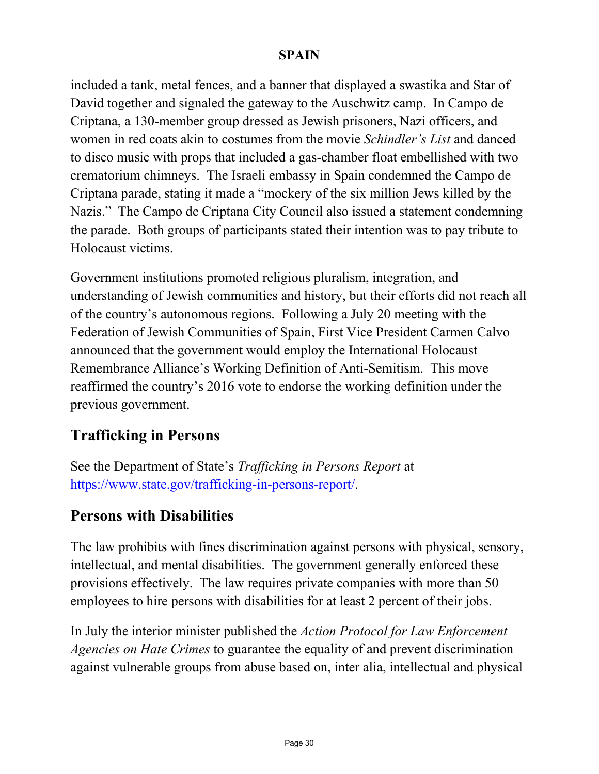included a tank, metal fences, and a banner that displayed a swastika and Star of David together and signaled the gateway to the Auschwitz camp. In Campo de Criptana, a 130-member group dressed as Jewish prisoners, Nazi officers, and women in red coats akin to costumes from the movie *Schindler's List* and danced to disco music with props that included a gas-chamber float embellished with two crematorium chimneys. The Israeli embassy in Spain condemned the Campo de Criptana parade, stating it made a "mockery of the six million Jews killed by the Nazis." The Campo de Criptana City Council also issued a statement condemning the parade. Both groups of participants stated their intention was to pay tribute to Holocaust victims.

Government institutions promoted religious pluralism, integration, and understanding of Jewish communities and history, but their efforts did not reach all of the country's autonomous regions. Following a July 20 meeting with the Federation of Jewish Communities of Spain, First Vice President Carmen Calvo announced that the government would employ the International Holocaust Remembrance Alliance's Working Definition of Anti-Semitism. This move reaffirmed the country's 2016 vote to endorse the working definition under the previous government.

### **Trafficking in Persons**

See the Department of State's *Trafficking in Persons Report* at [https://www.state.gov/trafficking-in-persons-report/.](https://www.state.gov/trafficking-in-persons-report/)

### **Persons with Disabilities**

The law prohibits with fines discrimination against persons with physical, sensory, intellectual, and mental disabilities. The government generally enforced these provisions effectively. The law requires private companies with more than 50 employees to hire persons with disabilities for at least 2 percent of their jobs.

In July the interior minister published the *Action Protocol for Law Enforcement Agencies on Hate Crimes* to guarantee the equality of and prevent discrimination against vulnerable groups from abuse based on, inter alia, intellectual and physical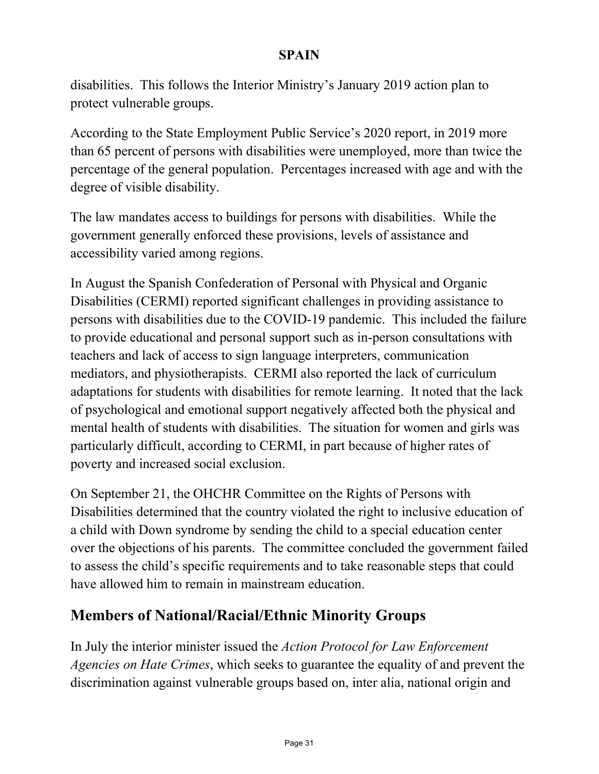disabilities. This follows the Interior Ministry's January 2019 action plan to protect vulnerable groups.

According to the State Employment Public Service's 2020 report, in 2019 more than 65 percent of persons with disabilities were unemployed, more than twice the percentage of the general population. Percentages increased with age and with the degree of visible disability.

The law mandates access to buildings for persons with disabilities. While the government generally enforced these provisions, levels of assistance and accessibility varied among regions.

In August the Spanish Confederation of Personal with Physical and Organic Disabilities (CERMI) reported significant challenges in providing assistance to persons with disabilities due to the COVID-19 pandemic. This included the failure to provide educational and personal support such as in-person consultations with teachers and lack of access to sign language interpreters, communication mediators, and physiotherapists. CERMI also reported the lack of curriculum adaptations for students with disabilities for remote learning. It noted that the lack of psychological and emotional support negatively affected both the physical and mental health of students with disabilities. The situation for women and girls was particularly difficult, according to CERMI, in part because of higher rates of poverty and increased social exclusion.

On September 21, the OHCHR Committee on the Rights of Persons with Disabilities determined that the country violated the right to inclusive education of a child with Down syndrome by sending the child to a special education center over the objections of his parents. The committee concluded the government failed to assess the child's specific requirements and to take reasonable steps that could have allowed him to remain in mainstream education.

### **Members of National/Racial/Ethnic Minority Groups**

In July the interior minister issued the *Action Protocol for Law Enforcement Agencies on Hate Crimes*, which seeks to guarantee the equality of and prevent the discrimination against vulnerable groups based on, inter alia, national origin and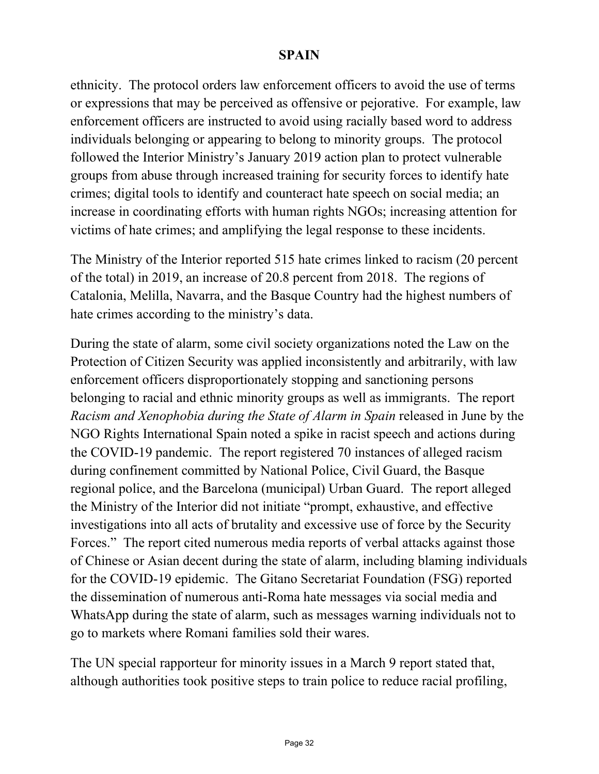ethnicity. The protocol orders law enforcement officers to avoid the use of terms or expressions that may be perceived as offensive or pejorative. For example, law enforcement officers are instructed to avoid using racially based word to address individuals belonging or appearing to belong to minority groups. The protocol followed the Interior Ministry's January 2019 action plan to protect vulnerable groups from abuse through increased training for security forces to identify hate crimes; digital tools to identify and counteract hate speech on social media; an increase in coordinating efforts with human rights NGOs; increasing attention for victims of hate crimes; and amplifying the legal response to these incidents.

The Ministry of the Interior reported 515 hate crimes linked to racism (20 percent of the total) in 2019, an increase of 20.8 percent from 2018. The regions of Catalonia, Melilla, Navarra, and the Basque Country had the highest numbers of hate crimes according to the ministry's data.

During the state of alarm, some civil society organizations noted the Law on the Protection of Citizen Security was applied inconsistently and arbitrarily, with law enforcement officers disproportionately stopping and sanctioning persons belonging to racial and ethnic minority groups as well as immigrants. The report *Racism and Xenophobia during the State of Alarm in Spain* released in June by the NGO Rights International Spain noted a spike in racist speech and actions during the COVID-19 pandemic. The report registered 70 instances of alleged racism during confinement committed by National Police, Civil Guard, the Basque regional police, and the Barcelona (municipal) Urban Guard. The report alleged the Ministry of the Interior did not initiate "prompt, exhaustive, and effective investigations into all acts of brutality and excessive use of force by the Security Forces." The report cited numerous media reports of verbal attacks against those of Chinese or Asian decent during the state of alarm, including blaming individuals for the COVID-19 epidemic. The Gitano Secretariat Foundation (FSG) reported the dissemination of numerous anti-Roma hate messages via social media and WhatsApp during the state of alarm, such as messages warning individuals not to go to markets where Romani families sold their wares.

The UN special rapporteur for minority issues in a March 9 report stated that, although authorities took positive steps to train police to reduce racial profiling,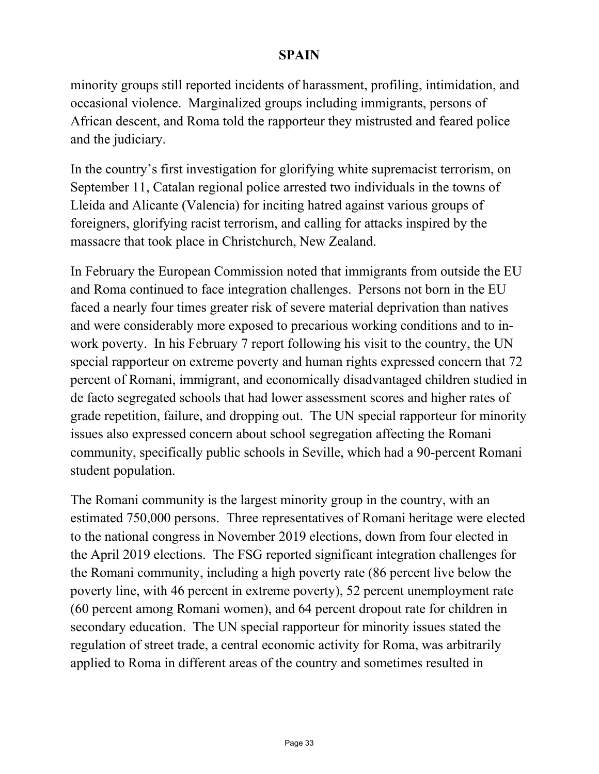minority groups still reported incidents of harassment, profiling, intimidation, and occasional violence. Marginalized groups including immigrants, persons of African descent, and Roma told the rapporteur they mistrusted and feared police and the judiciary.

In the country's first investigation for glorifying white supremacist terrorism, on September 11, Catalan regional police arrested two individuals in the towns of Lleida and Alicante (Valencia) for inciting hatred against various groups of foreigners, glorifying racist terrorism, and calling for attacks inspired by the massacre that took place in Christchurch, New Zealand.

In February the European Commission noted that immigrants from outside the EU and Roma continued to face integration challenges. Persons not born in the EU faced a nearly four times greater risk of severe material deprivation than natives and were considerably more exposed to precarious working conditions and to inwork poverty. In his February 7 report following his visit to the country, the UN special rapporteur on extreme poverty and human rights expressed concern that 72 percent of Romani, immigrant, and economically disadvantaged children studied in de facto segregated schools that had lower assessment scores and higher rates of grade repetition, failure, and dropping out. The UN special rapporteur for minority issues also expressed concern about school segregation affecting the Romani community, specifically public schools in Seville, which had a 90-percent Romani student population.

The Romani community is the largest minority group in the country, with an estimated 750,000 persons. Three representatives of Romani heritage were elected to the national congress in November 2019 elections, down from four elected in the April 2019 elections. The FSG reported significant integration challenges for the Romani community, including a high poverty rate (86 percent live below the poverty line, with 46 percent in extreme poverty), 52 percent unemployment rate (60 percent among Romani women), and 64 percent dropout rate for children in secondary education. The UN special rapporteur for minority issues stated the regulation of street trade, a central economic activity for Roma, was arbitrarily applied to Roma in different areas of the country and sometimes resulted in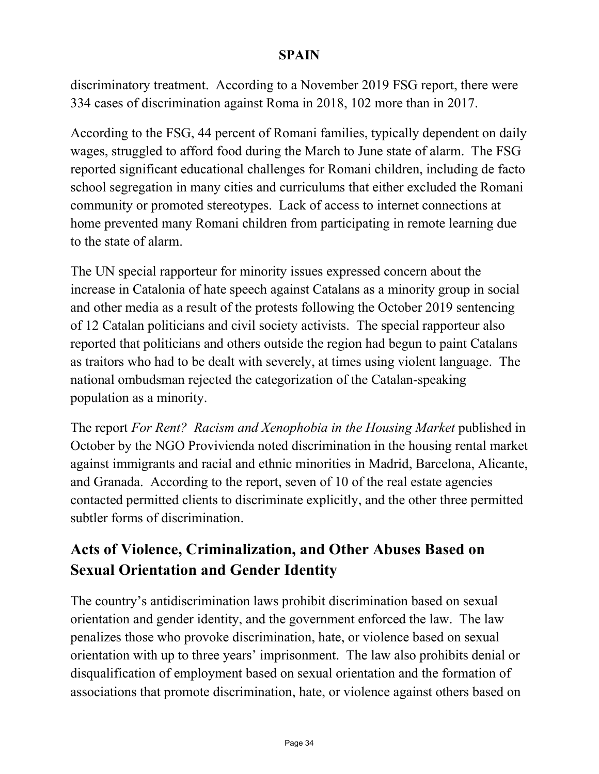discriminatory treatment. According to a November 2019 FSG report, there were 334 cases of discrimination against Roma in 2018, 102 more than in 2017.

According to the FSG, 44 percent of Romani families, typically dependent on daily wages, struggled to afford food during the March to June state of alarm. The FSG reported significant educational challenges for Romani children, including de facto school segregation in many cities and curriculums that either excluded the Romani community or promoted stereotypes. Lack of access to internet connections at home prevented many Romani children from participating in remote learning due to the state of alarm.

The UN special rapporteur for minority issues expressed concern about the increase in Catalonia of hate speech against Catalans as a minority group in social and other media as a result of the protests following the October 2019 sentencing of 12 Catalan politicians and civil society activists. The special rapporteur also reported that politicians and others outside the region had begun to paint Catalans as traitors who had to be dealt with severely, at times using violent language. The national ombudsman rejected the categorization of the Catalan-speaking population as a minority.

The report *For Rent? Racism and Xenophobia in the Housing Market* published in October by the NGO Provivienda noted discrimination in the housing rental market against immigrants and racial and ethnic minorities in Madrid, Barcelona, Alicante, and Granada. According to the report, seven of 10 of the real estate agencies contacted permitted clients to discriminate explicitly, and the other three permitted subtler forms of discrimination.

### **Acts of Violence, Criminalization, and Other Abuses Based on Sexual Orientation and Gender Identity**

The country's antidiscrimination laws prohibit discrimination based on sexual orientation and gender identity, and the government enforced the law. The law penalizes those who provoke discrimination, hate, or violence based on sexual orientation with up to three years' imprisonment. The law also prohibits denial or disqualification of employment based on sexual orientation and the formation of associations that promote discrimination, hate, or violence against others based on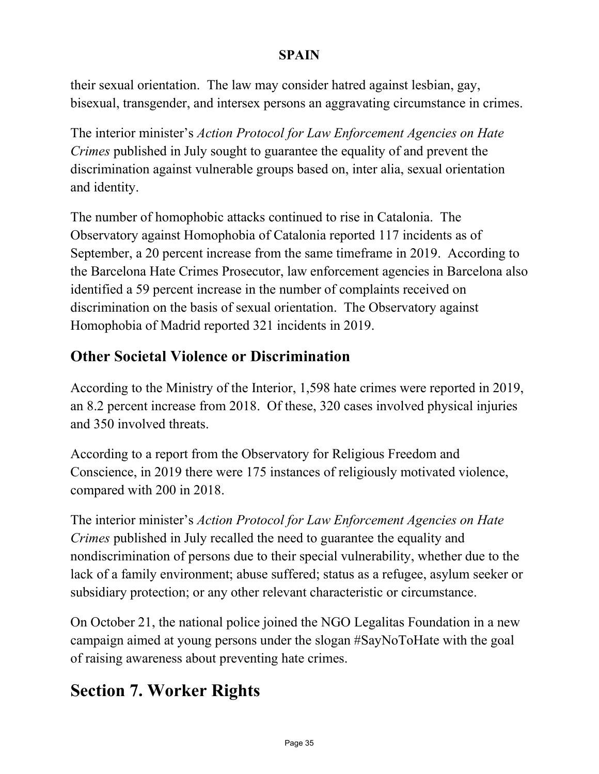their sexual orientation. The law may consider hatred against lesbian, gay, bisexual, transgender, and intersex persons an aggravating circumstance in crimes.

The interior minister's *Action Protocol for Law Enforcement Agencies on Hate Crimes* published in July sought to guarantee the equality of and prevent the discrimination against vulnerable groups based on, inter alia, sexual orientation and identity.

The number of homophobic attacks continued to rise in Catalonia. The Observatory against Homophobia of Catalonia reported 117 incidents as of September, a 20 percent increase from the same timeframe in 2019. According to the Barcelona Hate Crimes Prosecutor, law enforcement agencies in Barcelona also identified a 59 percent increase in the number of complaints received on discrimination on the basis of sexual orientation. The Observatory against Homophobia of Madrid reported 321 incidents in 2019.

### **Other Societal Violence or Discrimination**

According to the Ministry of the Interior, 1,598 hate crimes were reported in 2019, an 8.2 percent increase from 2018. Of these, 320 cases involved physical injuries and 350 involved threats.

According to a report from the Observatory for Religious Freedom and Conscience, in 2019 there were 175 instances of religiously motivated violence, compared with 200 in 2018.

The interior minister's *Action Protocol for Law Enforcement Agencies on Hate Crimes* published in July recalled the need to guarantee the equality and nondiscrimination of persons due to their special vulnerability, whether due to the lack of a family environment; abuse suffered; status as a refugee, asylum seeker or subsidiary protection; or any other relevant characteristic or circumstance.

On October 21, the national police joined the NGO Legalitas Foundation in a new campaign aimed at young persons under the slogan #SayNoToHate with the goal of raising awareness about preventing hate crimes.

# **Section 7. Worker Rights**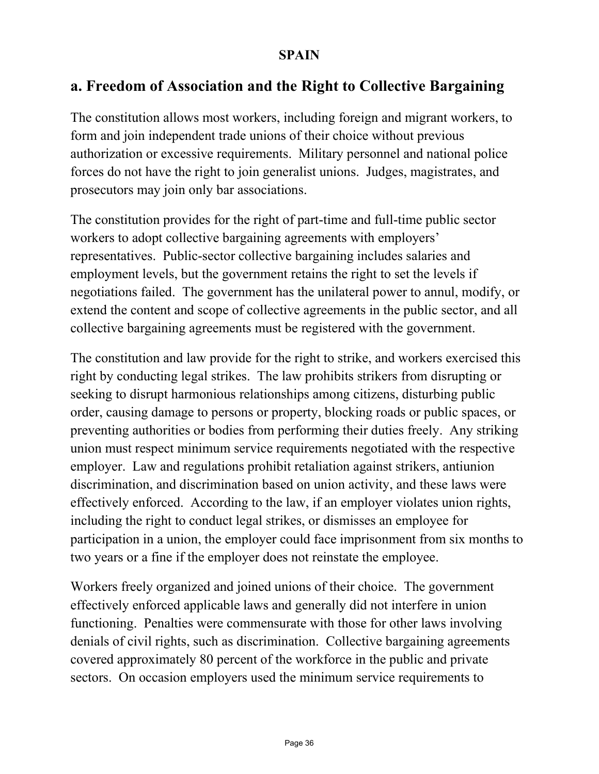### **a. Freedom of Association and the Right to Collective Bargaining**

The constitution allows most workers, including foreign and migrant workers, to form and join independent trade unions of their choice without previous authorization or excessive requirements. Military personnel and national police forces do not have the right to join generalist unions. Judges, magistrates, and prosecutors may join only bar associations.

The constitution provides for the right of part-time and full-time public sector workers to adopt collective bargaining agreements with employers' representatives. Public-sector collective bargaining includes salaries and employment levels, but the government retains the right to set the levels if negotiations failed. The government has the unilateral power to annul, modify, or extend the content and scope of collective agreements in the public sector, and all collective bargaining agreements must be registered with the government.

The constitution and law provide for the right to strike, and workers exercised this right by conducting legal strikes. The law prohibits strikers from disrupting or seeking to disrupt harmonious relationships among citizens, disturbing public order, causing damage to persons or property, blocking roads or public spaces, or preventing authorities or bodies from performing their duties freely. Any striking union must respect minimum service requirements negotiated with the respective employer. Law and regulations prohibit retaliation against strikers, antiunion discrimination, and discrimination based on union activity, and these laws were effectively enforced. According to the law, if an employer violates union rights, including the right to conduct legal strikes, or dismisses an employee for participation in a union, the employer could face imprisonment from six months to two years or a fine if the employer does not reinstate the employee.

Workers freely organized and joined unions of their choice. The government effectively enforced applicable laws and generally did not interfere in union functioning. Penalties were commensurate with those for other laws involving denials of civil rights, such as discrimination. Collective bargaining agreements covered approximately 80 percent of the workforce in the public and private sectors. On occasion employers used the minimum service requirements to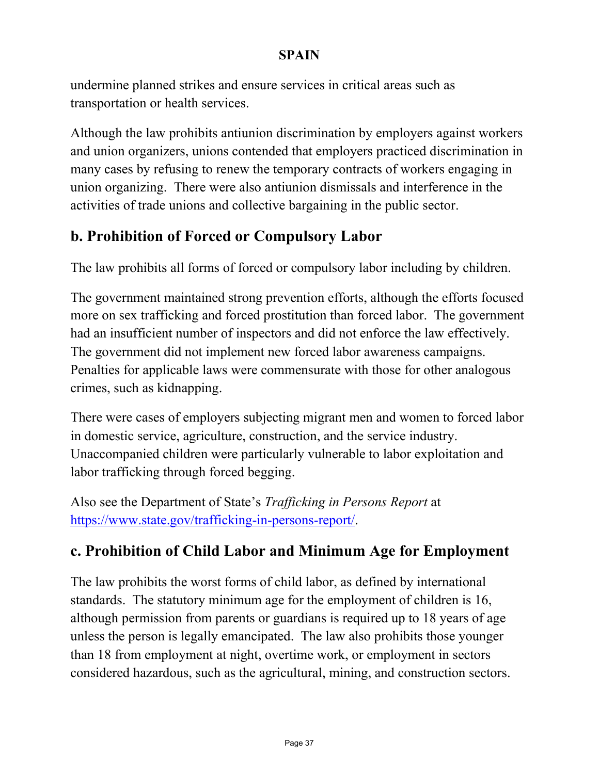undermine planned strikes and ensure services in critical areas such as transportation or health services.

Although the law prohibits antiunion discrimination by employers against workers and union organizers, unions contended that employers practiced discrimination in many cases by refusing to renew the temporary contracts of workers engaging in union organizing. There were also antiunion dismissals and interference in the activities of trade unions and collective bargaining in the public sector.

### **b. Prohibition of Forced or Compulsory Labor**

The law prohibits all forms of forced or compulsory labor including by children.

The government maintained strong prevention efforts, although the efforts focused more on sex trafficking and forced prostitution than forced labor. The government had an insufficient number of inspectors and did not enforce the law effectively. The government did not implement new forced labor awareness campaigns. Penalties for applicable laws were commensurate with those for other analogous crimes, such as kidnapping.

There were cases of employers subjecting migrant men and women to forced labor in domestic service, agriculture, construction, and the service industry. Unaccompanied children were particularly vulnerable to labor exploitation and labor trafficking through forced begging.

Also see the Department of State's *Trafficking in Persons Report* at [https://www.state.gov/trafficking-in-persons-report/.](https://www.state.gov/trafficking-in-persons-report/)

### **c. Prohibition of Child Labor and Minimum Age for Employment**

The law prohibits the worst forms of child labor, as defined by international standards. The statutory minimum age for the employment of children is 16, although permission from parents or guardians is required up to 18 years of age unless the person is legally emancipated. The law also prohibits those younger than 18 from employment at night, overtime work, or employment in sectors considered hazardous, such as the agricultural, mining, and construction sectors.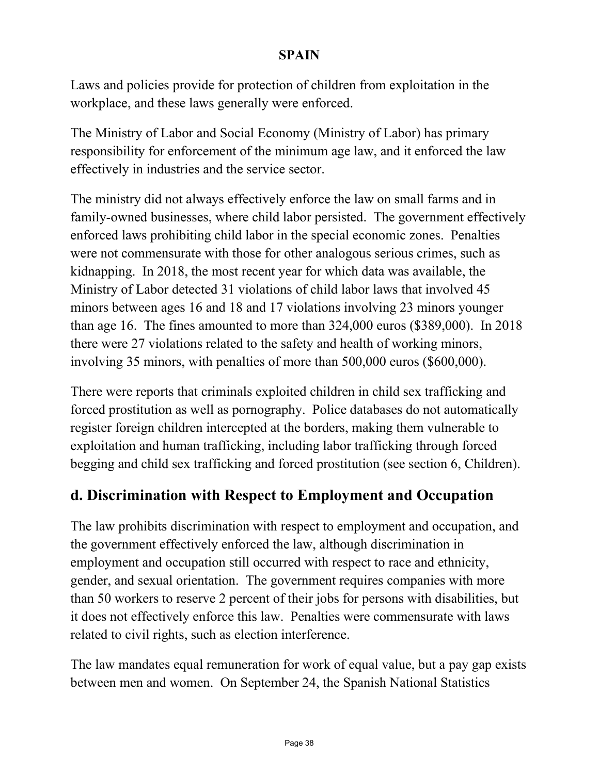Laws and policies provide for protection of children from exploitation in the workplace, and these laws generally were enforced.

The Ministry of Labor and Social Economy (Ministry of Labor) has primary responsibility for enforcement of the minimum age law, and it enforced the law effectively in industries and the service sector.

The ministry did not always effectively enforce the law on small farms and in family-owned businesses, where child labor persisted. The government effectively enforced laws prohibiting child labor in the special economic zones. Penalties were not commensurate with those for other analogous serious crimes, such as kidnapping. In 2018, the most recent year for which data was available, the Ministry of Labor detected 31 violations of child labor laws that involved 45 minors between ages 16 and 18 and 17 violations involving 23 minors younger than age 16. The fines amounted to more than 324,000 euros (\$389,000). In 2018 there were 27 violations related to the safety and health of working minors, involving 35 minors, with penalties of more than 500,000 euros (\$600,000).

There were reports that criminals exploited children in child sex trafficking and forced prostitution as well as pornography. Police databases do not automatically register foreign children intercepted at the borders, making them vulnerable to exploitation and human trafficking, including labor trafficking through forced begging and child sex trafficking and forced prostitution (see section 6, Children).

### **d. Discrimination with Respect to Employment and Occupation**

The law prohibits discrimination with respect to employment and occupation, and the government effectively enforced the law, although discrimination in employment and occupation still occurred with respect to race and ethnicity, gender, and sexual orientation. The government requires companies with more than 50 workers to reserve 2 percent of their jobs for persons with disabilities, but it does not effectively enforce this law. Penalties were commensurate with laws related to civil rights, such as election interference.

The law mandates equal remuneration for work of equal value, but a pay gap exists between men and women. On September 24, the Spanish National Statistics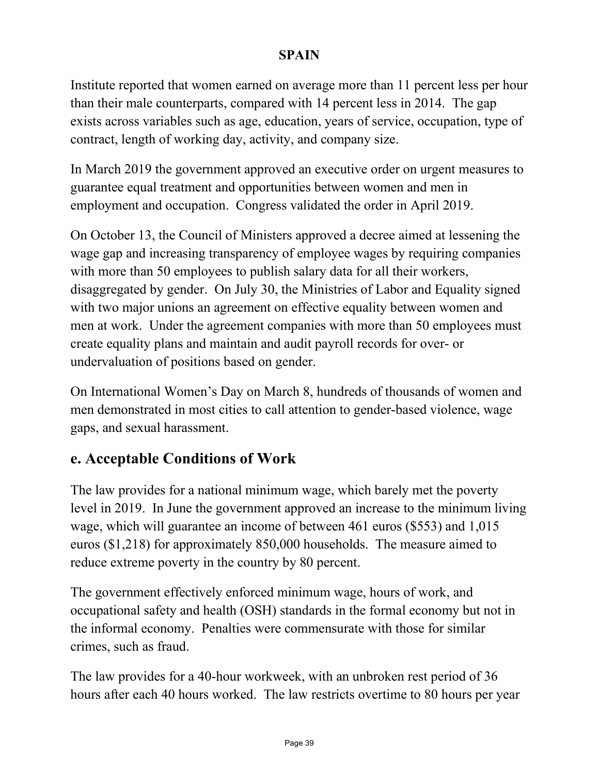Institute reported that women earned on average more than 11 percent less per hour than their male counterparts, compared with 14 percent less in 2014. The gap exists across variables such as age, education, years of service, occupation, type of contract, length of working day, activity, and company size.

In March 2019 the government approved an executive order on urgent measures to guarantee equal treatment and opportunities between women and men in employment and occupation. Congress validated the order in April 2019.

On October 13, the Council of Ministers approved a decree aimed at lessening the wage gap and increasing transparency of employee wages by requiring companies with more than 50 employees to publish salary data for all their workers, disaggregated by gender. On July 30, the Ministries of Labor and Equality signed with two major unions an agreement on effective equality between women and men at work. Under the agreement companies with more than 50 employees must create equality plans and maintain and audit payroll records for over- or undervaluation of positions based on gender.

On International Women's Day on March 8, hundreds of thousands of women and men demonstrated in most cities to call attention to gender-based violence, wage gaps, and sexual harassment.

### **e. Acceptable Conditions of Work**

The law provides for a national minimum wage, which barely met the poverty level in 2019. In June the government approved an increase to the minimum living wage, which will guarantee an income of between 461 euros (\$553) and 1,015 euros (\$1,218) for approximately 850,000 households. The measure aimed to reduce extreme poverty in the country by 80 percent.

The government effectively enforced minimum wage, hours of work, and occupational safety and health (OSH) standards in the formal economy but not in the informal economy. Penalties were commensurate with those for similar crimes, such as fraud.

The law provides for a 40-hour workweek, with an unbroken rest period of 36 hours after each 40 hours worked. The law restricts overtime to 80 hours per year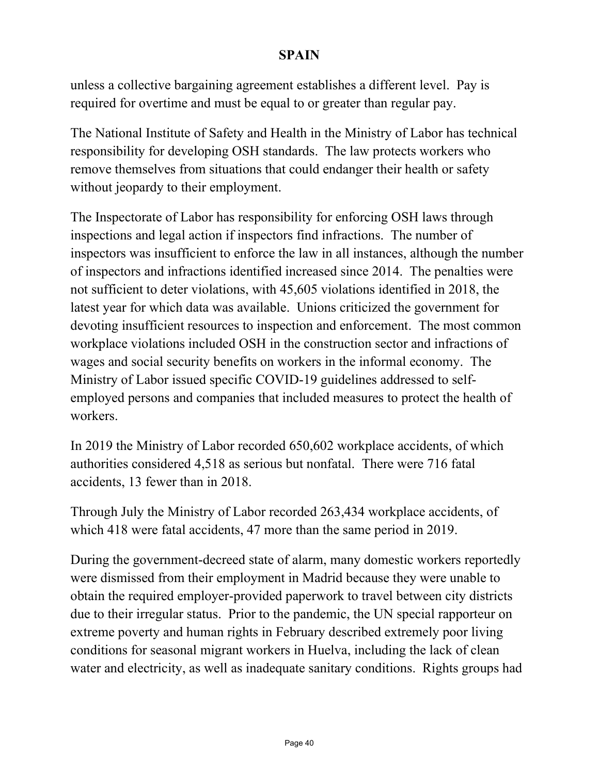unless a collective bargaining agreement establishes a different level. Pay is required for overtime and must be equal to or greater than regular pay.

The National Institute of Safety and Health in the Ministry of Labor has technical responsibility for developing OSH standards. The law protects workers who remove themselves from situations that could endanger their health or safety without jeopardy to their employment.

The Inspectorate of Labor has responsibility for enforcing OSH laws through inspections and legal action if inspectors find infractions. The number of inspectors was insufficient to enforce the law in all instances, although the number of inspectors and infractions identified increased since 2014. The penalties were not sufficient to deter violations, with 45,605 violations identified in 2018, the latest year for which data was available. Unions criticized the government for devoting insufficient resources to inspection and enforcement. The most common workplace violations included OSH in the construction sector and infractions of wages and social security benefits on workers in the informal economy. The Ministry of Labor issued specific COVID-19 guidelines addressed to selfemployed persons and companies that included measures to protect the health of workers.

In 2019 the Ministry of Labor recorded 650,602 workplace accidents, of which authorities considered 4,518 as serious but nonfatal. There were 716 fatal accidents, 13 fewer than in 2018.

Through July the Ministry of Labor recorded 263,434 workplace accidents, of which 418 were fatal accidents, 47 more than the same period in 2019.

During the government-decreed state of alarm, many domestic workers reportedly were dismissed from their employment in Madrid because they were unable to obtain the required employer-provided paperwork to travel between city districts due to their irregular status. Prior to the pandemic, the UN special rapporteur on extreme poverty and human rights in February described extremely poor living conditions for seasonal migrant workers in Huelva, including the lack of clean water and electricity, as well as inadequate sanitary conditions. Rights groups had